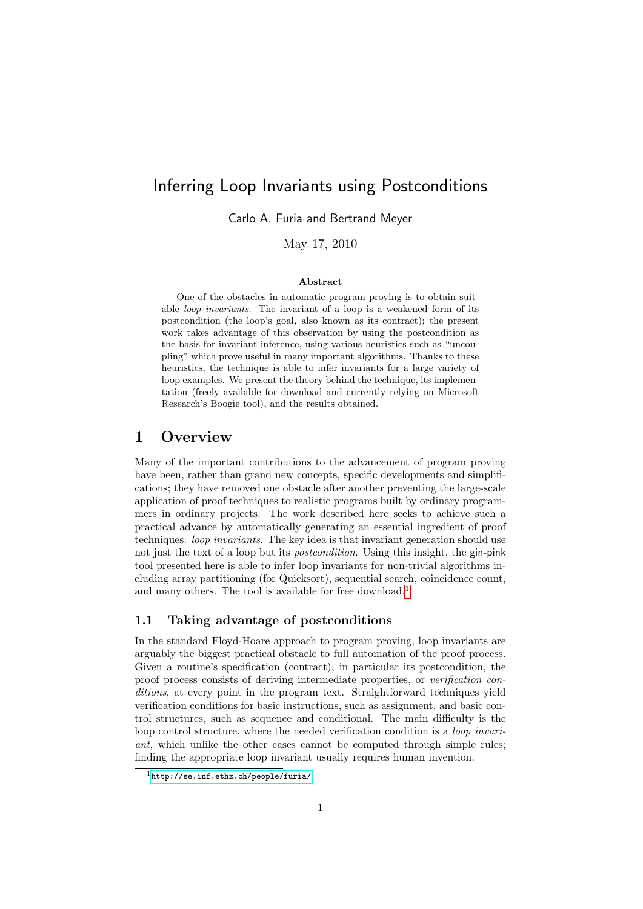# Inferring Loop Invariants using Postconditions

Carlo A. Furia and Bertrand Meyer

May 17, 2010

#### Abstract

One of the obstacles in automatic program proving is to obtain suitable loop invariants. The invariant of a loop is a weakened form of its postcondition (the loop's goal, also known as its contract); the present work takes advantage of this observation by using the postcondition as the basis for invariant inference, using various heuristics such as "uncoupling" which prove useful in many important algorithms. Thanks to these heuristics, the technique is able to infer invariants for a large variety of loop examples. We present the theory behind the technique, its implementation (freely available for download and currently relying on Microsoft Research's Boogie tool), and the results obtained.

### <span id="page-0-1"></span>1 Overview

Many of the important contributions to the advancement of program proving have been, rather than grand new concepts, specific developments and simplifications; they have removed one obstacle after another preventing the large-scale application of proof techniques to realistic programs built by ordinary programmers in ordinary projects. The work described here seeks to achieve such a practical advance by automatically generating an essential ingredient of proof techniques: *loop invariants*. The key idea is that invariant generation should use not just the text of a loop but its *postcondition*. Using this insight, the gin-pink tool presented here is able to infer loop invariants for non-trivial algorithms including array partitioning (for Quicksort), sequential search, coincidence count, and many others. The tool is available for free download.<sup>[1](#page-0-0)</sup>

#### 1.1 Taking advantage of postconditions

In the standard Floyd-Hoare approach to program proving, loop invariants are arguably the biggest practical obstacle to full automation of the proof process. Given a routine's specification (contract), in particular its postcondition, the proof process consists of deriving intermediate properties, or verification conditions, at every point in the program text. Straightforward techniques yield verification conditions for basic instructions, such as assignment, and basic control structures, such as sequence and conditional. The main difficulty is the loop control structure, where the needed verification condition is a *loop invari*ant, which unlike the other cases cannot be computed through simple rules; finding the appropriate loop invariant usually requires human invention.

<span id="page-0-0"></span><sup>1</sup><http://se.inf.ethz.ch/people/furia/>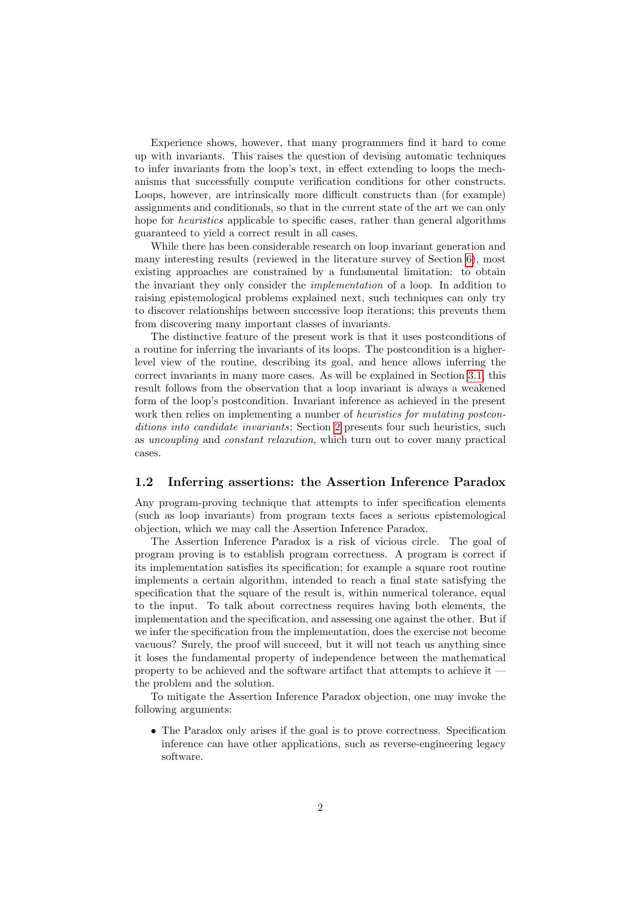Experience shows, however, that many programmers find it hard to come up with invariants. This raises the question of devising automatic techniques to infer invariants from the loop's text, in effect extending to loops the mechanisms that successfully compute verification conditions for other constructs. Loops, however, are intrinsically more difficult constructs than (for example) assignments and conditionals, so that in the current state of the art we can only hope for *heuristics* applicable to specific cases, rather than general algorithms guaranteed to yield a correct result in all cases.

While there has been considerable research on loop invariant generation and many interesting results (reviewed in the literature survey of Section [6\)](#page-16-0), most existing approaches are constrained by a fundamental limitation: to obtain the invariant they only consider the implementation of a loop. In addition to raising epistemological problems explained next, such techniques can only try to discover relationships between successive loop iterations; this prevents them from discovering many important classes of invariants.

The distinctive feature of the present work is that it uses postconditions of a routine for inferring the invariants of its loops. The postcondition is a higherlevel view of the routine, describing its goal, and hence allows inferring the correct invariants in many more cases. As will be explained in Section [3.1,](#page-6-0) this result follows from the observation that a loop invariant is always a weakened form of the loop's postcondition. Invariant inference as achieved in the present work then relies on implementing a number of *heuristics for mutating postcon*-ditions into candidate invariants; Section [2](#page-3-0) presents four such heuristics, such as uncoupling and constant relaxation, which turn out to cover many practical cases.

### 1.2 Inferring assertions: the Assertion Inference Paradox

Any program-proving technique that attempts to infer specification elements (such as loop invariants) from program texts faces a serious epistemological objection, which we may call the Assertion Inference Paradox.

The Assertion Inference Paradox is a risk of vicious circle. The goal of program proving is to establish program correctness. A program is correct if its implementation satisfies its specification; for example a square root routine implements a certain algorithm, intended to reach a final state satisfying the specification that the square of the result is, within numerical tolerance, equal to the input. To talk about correctness requires having both elements, the implementation and the specification, and assessing one against the other. But if we infer the specification from the implementation, does the exercise not become vacuous? Surely, the proof will succeed, but it will not teach us anything since it loses the fundamental property of independence between the mathematical property to be achieved and the software artifact that attempts to achieve it the problem and the solution.

To mitigate the Assertion Inference Paradox objection, one may invoke the following arguments:

• The Paradox only arises if the goal is to prove correctness. Specification inference can have other applications, such as reverse-engineering legacy software.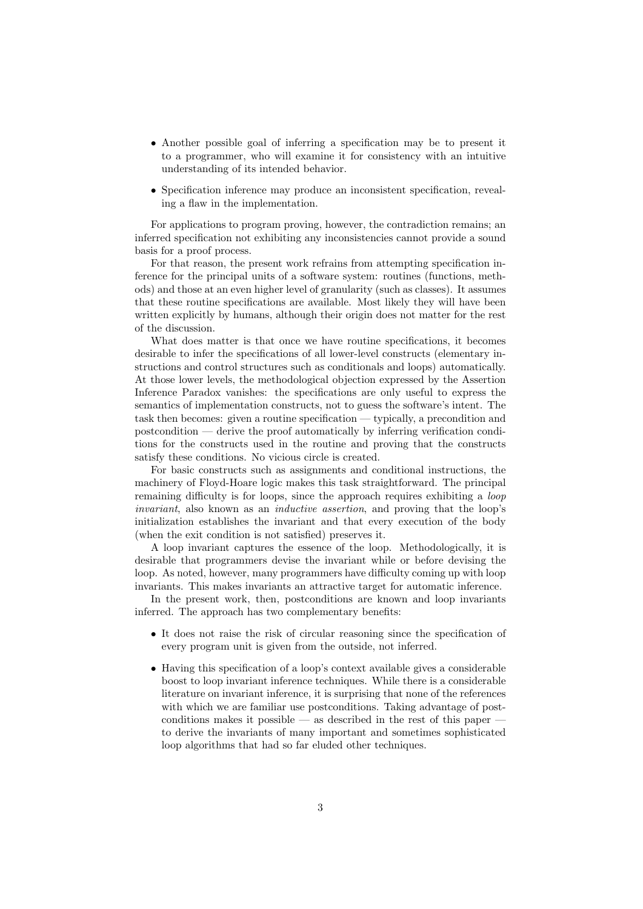- Another possible goal of inferring a specification may be to present it to a programmer, who will examine it for consistency with an intuitive understanding of its intended behavior.
- Specification inference may produce an inconsistent specification, revealing a flaw in the implementation.

For applications to program proving, however, the contradiction remains; an inferred specification not exhibiting any inconsistencies cannot provide a sound basis for a proof process.

For that reason, the present work refrains from attempting specification inference for the principal units of a software system: routines (functions, methods) and those at an even higher level of granularity (such as classes). It assumes that these routine specifications are available. Most likely they will have been written explicitly by humans, although their origin does not matter for the rest of the discussion.

What does matter is that once we have routine specifications, it becomes desirable to infer the specifications of all lower-level constructs (elementary instructions and control structures such as conditionals and loops) automatically. At those lower levels, the methodological objection expressed by the Assertion Inference Paradox vanishes: the specifications are only useful to express the semantics of implementation constructs, not to guess the software's intent. The task then becomes: given a routine specification — typically, a precondition and postcondition — derive the proof automatically by inferring verification conditions for the constructs used in the routine and proving that the constructs satisfy these conditions. No vicious circle is created.

For basic constructs such as assignments and conditional instructions, the machinery of Floyd-Hoare logic makes this task straightforward. The principal remaining difficulty is for loops, since the approach requires exhibiting a loop invariant, also known as an inductive assertion, and proving that the loop's initialization establishes the invariant and that every execution of the body (when the exit condition is not satisfied) preserves it.

A loop invariant captures the essence of the loop. Methodologically, it is desirable that programmers devise the invariant while or before devising the loop. As noted, however, many programmers have difficulty coming up with loop invariants. This makes invariants an attractive target for automatic inference.

In the present work, then, postconditions are known and loop invariants inferred. The approach has two complementary benefits:

- It does not raise the risk of circular reasoning since the specification of every program unit is given from the outside, not inferred.
- Having this specification of a loop's context available gives a considerable boost to loop invariant inference techniques. While there is a considerable literature on invariant inference, it is surprising that none of the references with which we are familiar use postconditions. Taking advantage of postconditions makes it possible — as described in the rest of this paper to derive the invariants of many important and sometimes sophisticated loop algorithms that had so far eluded other techniques.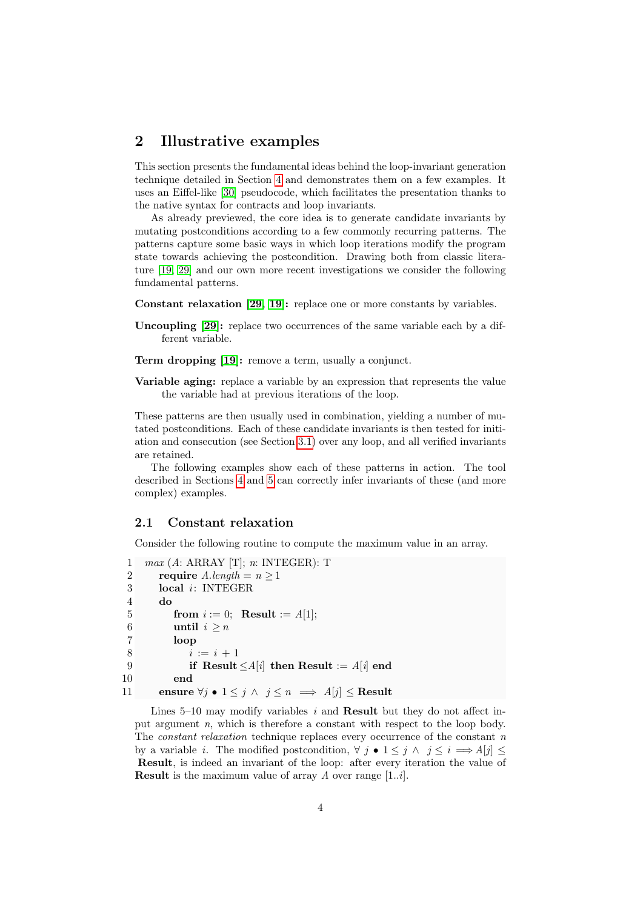# <span id="page-3-0"></span>2 Illustrative examples

This section presents the fundamental ideas behind the loop-invariant generation technique detailed in Section [4](#page-10-0) and demonstrates them on a few examples. It uses an Eiffel-like [\[30\]](#page-23-0) pseudocode, which facilitates the presentation thanks to the native syntax for contracts and loop invariants.

As already previewed, the core idea is to generate candidate invariants by mutating postconditions according to a few commonly recurring patterns. The patterns capture some basic ways in which loop iterations modify the program state towards achieving the postcondition. Drawing both from classic literature [\[19,](#page-22-0) [29\]](#page-23-1) and our own more recent investigations we consider the following fundamental patterns.

Constant relaxation [\[29,](#page-23-1) [19\]](#page-22-0): replace one or more constants by variables.

Uncoupling [\[29\]](#page-23-1): replace two occurrences of the same variable each by a different variable.

Term dropping [\[19\]](#page-22-0): remove a term, usually a conjunct.

Variable aging: replace a variable by an expression that represents the value the variable had at previous iterations of the loop.

These patterns are then usually used in combination, yielding a number of mutated postconditions. Each of these candidate invariants is then tested for initiation and consecution (see Section [3.1\)](#page-6-0) over any loop, and all verified invariants are retained.

The following examples show each of these patterns in action. The tool described in Sections [4](#page-10-0) and [5](#page-13-0) can correctly infer invariants of these (and more complex) examples.

#### <span id="page-3-1"></span>2.1 Constant relaxation

Consider the following routine to compute the maximum value in an array.

```
1 max(A:ARRAY [T]; n: INTEGR): T2 require A.length = n > 13 local i: INTEGER
4 do
5 from i := 0; Result := A[1];
6 until i \geq n7 loop
8 i := i + 19 if Result \leq A[i] then Result := A[i] end
10 end
11 ensure \forall j \bullet 1 \leq j \land j \leq n \implies A[j] \leq \text{Result}
```
Lines  $5-10$  may modify variables i and **Result** but they do not affect input argument  $n$ , which is therefore a constant with respect to the loop body. The *constant relaxation* technique replaces every occurrence of the constant  $n$ by a variable *i*. The modified postcondition,  $\forall j \bullet 1 \leq j \land j \leq i \Longrightarrow A[j] \leq j$ Result, is indeed an invariant of the loop: after every iteration the value of **Result** is the maximum value of array A over range  $[1..i]$ .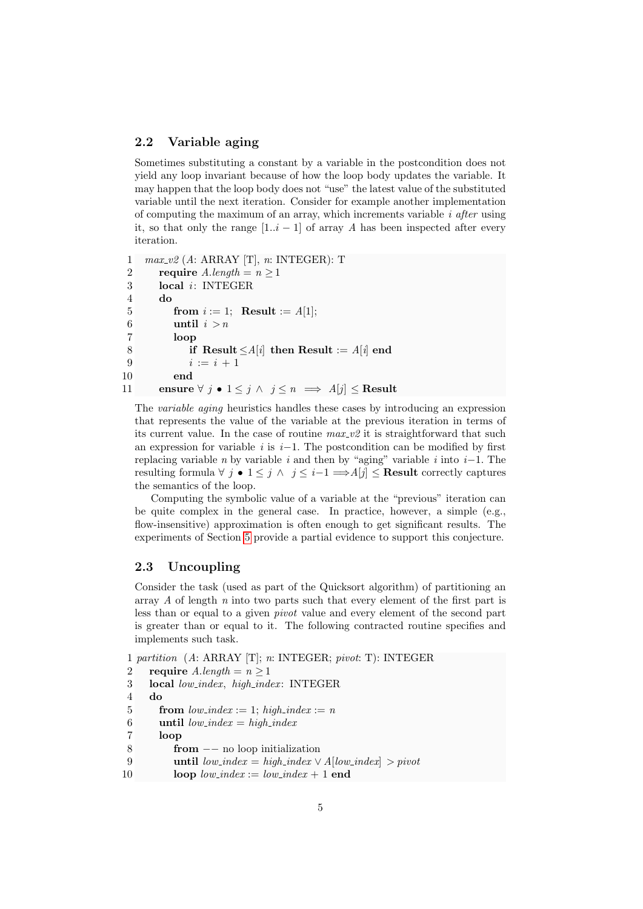#### <span id="page-4-1"></span>2.2 Variable aging

Sometimes substituting a constant by a variable in the postcondition does not yield any loop invariant because of how the loop body updates the variable. It may happen that the loop body does not "use" the latest value of the substituted variable until the next iteration. Consider for example another implementation of computing the maximum of an array, which increments variable  $i$  after using it, so that only the range  $[1..i - 1]$  of array A has been inspected after every iteration.

```
1 max_v2(A:ARRAY [T], n: INTEGR): T2 require A.length = n > 13 local i: INTEGER
4 do
5 from i := 1; Result := A[1];
6 until i > n7 loop
8 if Result \leq A[i] then Result := A[i] end
9 i := i + 110 end
11 ensure \forall j \bullet 1 \leq j \land j \leq n \implies A[j] \leq \text{Result}
```
The variable aging heuristics handles these cases by introducing an expression that represents the value of the variable at the previous iteration in terms of its current value. In the case of routine  $max_v 2$  it is straightforward that such an expression for variable i is  $i-1$ . The postcondition can be modified by first replacing variable *n* by variable *i* and then by "aging" variable *i* into  $i-1$ . The resulting formula  $\forall j \bullet 1 \leq j \land j \leq i-1 \Longrightarrow A[j] \leq$ **Result** correctly captures the semantics of the loop.

Computing the symbolic value of a variable at the "previous" iteration can be quite complex in the general case. In practice, however, a simple (e.g., flow-insensitive) approximation is often enough to get significant results. The experiments of Section [5](#page-13-0) provide a partial evidence to support this conjecture.

#### <span id="page-4-0"></span>2.3 Uncoupling

Consider the task (used as part of the Quicksort algorithm) of partitioning an array  $A$  of length  $n$  into two parts such that every element of the first part is less than or equal to a given pivot value and every element of the second part is greater than or equal to it. The following contracted routine specifies and implements such task.

```
1 partition (A: ARRAY [T]; n: INTEGER; pivot: T): INTEGER
2 require A.length = n > 13 local low index, high index: INTEGER
4 do
5 from low\_index := 1; high-index := n
6 until low\_index = high\_index7 loop
8 from −− no loop initialization
9 until low\_index = high\_index \vee A[low\_index] > pivot
```

```
10 \log_{10} \frac{low\_index}{i} := low\_index + 1 end
```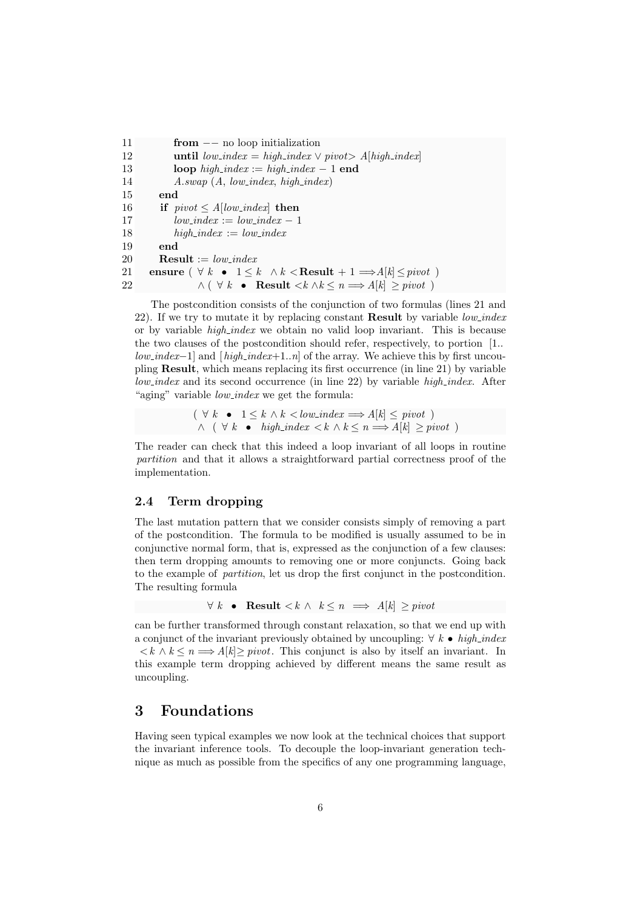11 from −− no loop initialization 12 until  $low\_index = high\_index \vee pivot > A[high\_index]$ 13 **loop** high\_index := high\_index - 1 **end**  $14$  A.swap (A, low index, high index) 15 end 16 if  $pivot \leq A[low\_index]$  then 17  $low\_index := low\_index - 1$ 18  $high\_index := low\_index$ 19 end 20 **Result** :=  $low\_index$ 21 ensure  $(\forall k \bullet 1 \leq k \land k <$ Result  $+1 \Longrightarrow A[k] \leq pivot)$ 22  $\wedge (\forall k \bullet \text{Result } < k \wedge k \leq n \Longrightarrow A[k] \geq pivot)$ 

The postcondition consists of the conjunction of two formulas (lines 21 and 22). If we try to mutate it by replacing constant **Result** by variable *low\_index* or by variable *high index* we obtain no valid loop invariant. This is because the two clauses of the postcondition should refer, respectively, to portion [1.. *low\_index*−1] and [high\_index+1..n] of the array. We achieve this by first uncoupling Result, which means replacing its first occurrence (in line 21) by variable  $low\_index$  and its second occurrence (in line 22) by variable high index. After "aging" variable *low\_index* we get the formula:

$$
(\forall k \bullet 1 \le k \land k < low\_index \implies A[k] \le pivot )
$$
  
 
$$
\land (\forall k \bullet high\_index < k \land k \le n \implies A[k] \ge pivot )
$$

The reader can check that this indeed a loop invariant of all loops in routine partition and that it allows a straightforward partial correctness proof of the implementation.

#### <span id="page-5-0"></span>2.4 Term dropping

The last mutation pattern that we consider consists simply of removing a part of the postcondition. The formula to be modified is usually assumed to be in conjunctive normal form, that is, expressed as the conjunction of a few clauses: then term dropping amounts to removing one or more conjuncts. Going back to the example of partition, let us drop the first conjunct in the postcondition. The resulting formula

$$
\forall k \quad \bullet \quad \textbf{Result} < k \ \land \ k \le n \implies A[k] \ge pivot
$$

can be further transformed through constant relaxation, so that we end up with a conjunct of the invariant previously obtained by uncoupling:  $\forall k \bullet high\_index$  $\langle k \wedge k \leq n \Longrightarrow A[k] \geq pivot$ . This conjunct is also by itself an invariant. In this example term dropping achieved by different means the same result as uncoupling.

### 3 Foundations

Having seen typical examples we now look at the technical choices that support the invariant inference tools. To decouple the loop-invariant generation technique as much as possible from the specifics of any one programming language,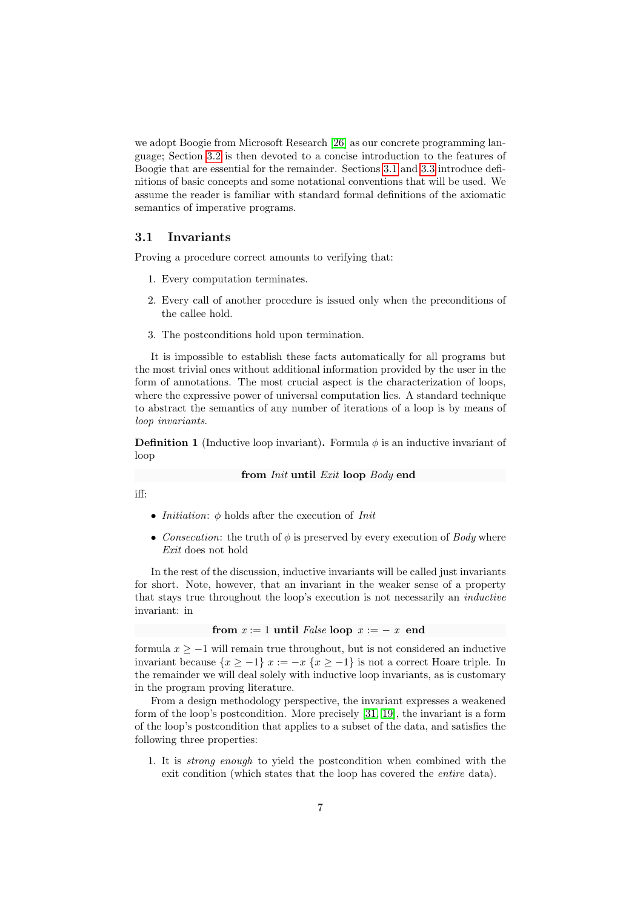we adopt Boogie from Microsoft Research [\[26\]](#page-22-1) as our concrete programming language; Section [3.2](#page-7-0) is then devoted to a concise introduction to the features of Boogie that are essential for the remainder. Sections [3.1](#page-6-0) and [3.3](#page-9-0) introduce definitions of basic concepts and some notational conventions that will be used. We assume the reader is familiar with standard formal definitions of the axiomatic semantics of imperative programs.

#### <span id="page-6-0"></span>3.1 Invariants

Proving a procedure correct amounts to verifying that:

- 1. Every computation terminates.
- 2. Every call of another procedure is issued only when the preconditions of the callee hold.
- 3. The postconditions hold upon termination.

It is impossible to establish these facts automatically for all programs but the most trivial ones without additional information provided by the user in the form of annotations. The most crucial aspect is the characterization of loops, where the expressive power of universal computation lies. A standard technique to abstract the semantics of any number of iterations of a loop is by means of loop invariants.

<span id="page-6-1"></span>**Definition 1** (Inductive loop invariant). Formula  $\phi$  is an inductive invariant of loop

#### from Init until Exit loop Body end

iff:

- *Initiation*:  $\phi$  holds after the execution of *Init*
- Consecution: the truth of  $\phi$  is preserved by every execution of Body where Exit does not hold

In the rest of the discussion, inductive invariants will be called just invariants for short. Note, however, that an invariant in the weaker sense of a property that stays true throughout the loop's execution is not necessarily an inductive invariant: in

```
from x := 1 until False loop x := -x end
```
formula  $x \ge -1$  will remain true throughout, but is not considered an inductive invariant because  $\{x \ge -1\}$   $x := -x \{x \ge -1\}$  is not a correct Hoare triple. In the remainder we will deal solely with inductive loop invariants, as is customary in the program proving literature.

From a design methodology perspective, the invariant expresses a weakened form of the loop's postcondition. More precisely [\[31,](#page-23-2) [19\]](#page-22-0), the invariant is a form of the loop's postcondition that applies to a subset of the data, and satisfies the following three properties:

1. It is strong enough to yield the postcondition when combined with the exit condition (which states that the loop has covered the entire data).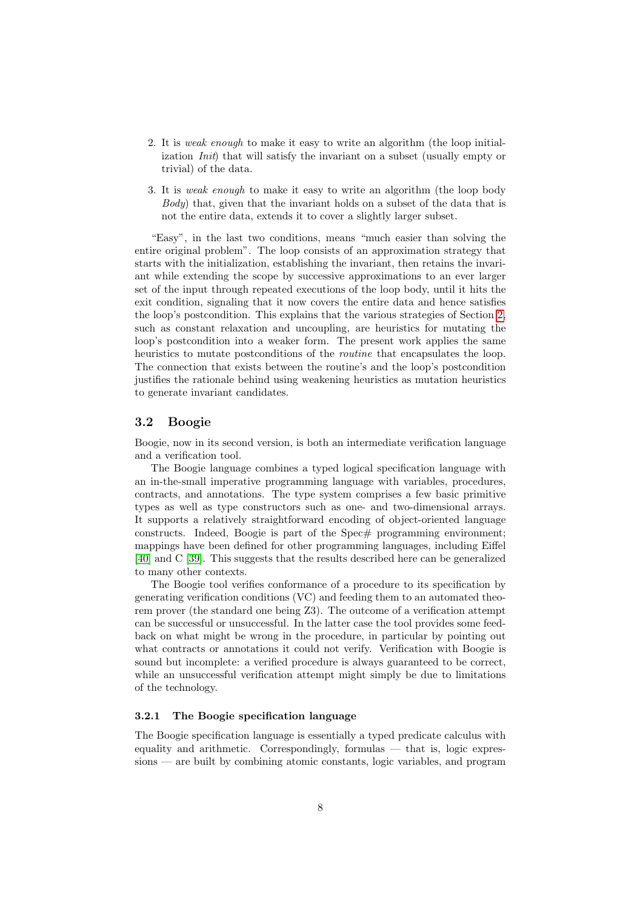- 2. It is weak enough to make it easy to write an algorithm (the loop initialization Init) that will satisfy the invariant on a subset (usually empty or trivial) of the data.
- 3. It is weak enough to make it easy to write an algorithm (the loop body Body) that, given that the invariant holds on a subset of the data that is not the entire data, extends it to cover a slightly larger subset.

"Easy", in the last two conditions, means "much easier than solving the entire original problem". The loop consists of an approximation strategy that starts with the initialization, establishing the invariant, then retains the invariant while extending the scope by successive approximations to an ever larger set of the input through repeated executions of the loop body, until it hits the exit condition, signaling that it now covers the entire data and hence satisfies the loop's postcondition. This explains that the various strategies of Section [2,](#page-3-0) such as constant relaxation and uncoupling, are heuristics for mutating the loop's postcondition into a weaker form. The present work applies the same heuristics to mutate postconditions of the *routine* that encapsulates the loop. The connection that exists between the routine's and the loop's postcondition justifies the rationale behind using weakening heuristics as mutation heuristics to generate invariant candidates.

#### <span id="page-7-0"></span>3.2 Boogie

Boogie, now in its second version, is both an intermediate verification language and a verification tool.

The Boogie language combines a typed logical specification language with an in-the-small imperative programming language with variables, procedures, contracts, and annotations. The type system comprises a few basic primitive types as well as type constructors such as one- and two-dimensional arrays. It supports a relatively straightforward encoding of object-oriented language constructs. Indeed, Boogie is part of the Spec# programming environment; mappings have been defined for other programming languages, including Eiffel [\[40\]](#page-24-0) and C [\[39\]](#page-24-1). This suggests that the results described here can be generalized to many other contexts.

The Boogie tool verifies conformance of a procedure to its specification by generating verification conditions (VC) and feeding them to an automated theorem prover (the standard one being Z3). The outcome of a verification attempt can be successful or unsuccessful. In the latter case the tool provides some feedback on what might be wrong in the procedure, in particular by pointing out what contracts or annotations it could not verify. Verification with Boogie is sound but incomplete: a verified procedure is always guaranteed to be correct, while an unsuccessful verification attempt might simply be due to limitations of the technology.

### 3.2.1 The Boogie specification language

The Boogie specification language is essentially a typed predicate calculus with equality and arithmetic. Correspondingly, formulas — that is, logic expressions — are built by combining atomic constants, logic variables, and program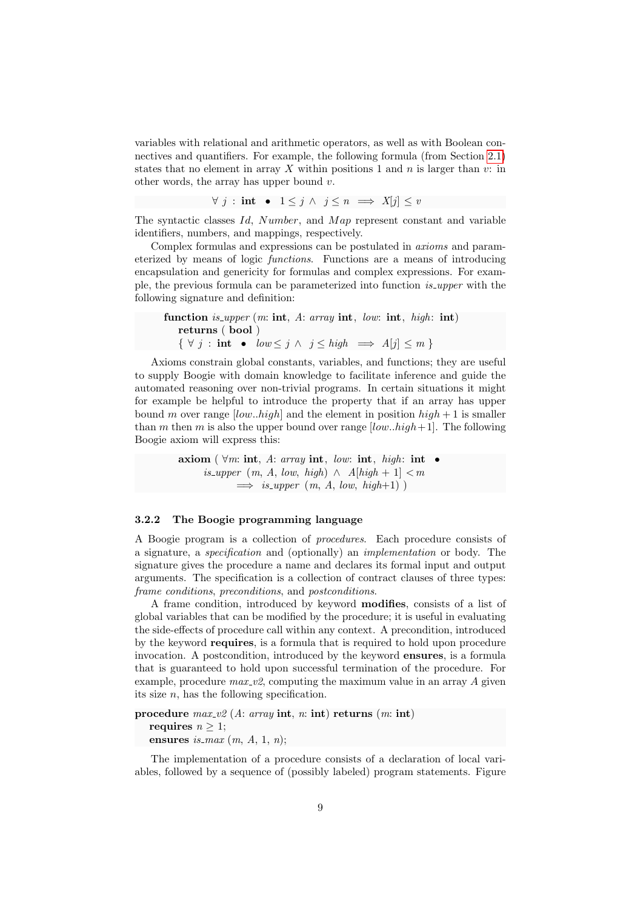variables with relational and arithmetic operators, as well as with Boolean connectives and quantifiers. For example, the following formula (from Section [2.1\)](#page-3-1) states that no element in array X within positions 1 and n is larger than  $v$ : in other words, the array has upper bound  $v$ .

$$
\forall j : \text{int} \bullet 1 \leq j \land j \leq n \implies X[j] \leq v
$$

The syntactic classes Id, Number, and Map represent constant and variable identifiers, numbers, and mappings, respectively.

Complex formulas and expressions can be postulated in axioms and parameterized by means of logic functions. Functions are a means of introducing encapsulation and genericity for formulas and complex expressions. For example, the previous formula can be parameterized into function is upper with the following signature and definition:

function is upper  $(m: \text{int}, A: array \text{ int}, low: \text{ int}, high: \text{ int})$ returns ( bool )  $\{ \forall j : \text{int} \bullet \, low \leq j \land j \leq high \implies A[j] \leq m \}$ 

Axioms constrain global constants, variables, and functions; they are useful to supply Boogie with domain knowledge to facilitate inference and guide the automated reasoning over non-trivial programs. In certain situations it might for example be helpful to introduce the property that if an array has upper bound m over range  $[low..high]$  and the element in position  $high+1$  is smaller than m then m is also the upper bound over range  $[low..high+1]$ . The following Boogie axiom will express this:

> axiom ( $\forall m$ : int, A: array int, low: int, high: int • is\_upper  $(m, A, low, high) \wedge A[high + 1] < m$  $\implies$  is\_upper  $(m, A, low, high+1)$ )

#### 3.2.2 The Boogie programming language

A Boogie program is a collection of procedures. Each procedure consists of a signature, a specification and (optionally) an implementation or body. The signature gives the procedure a name and declares its formal input and output arguments. The specification is a collection of contract clauses of three types: frame conditions, preconditions, and postconditions.

A frame condition, introduced by keyword modifies, consists of a list of global variables that can be modified by the procedure; it is useful in evaluating the side-effects of procedure call within any context. A precondition, introduced by the keyword requires, is a formula that is required to hold upon procedure invocation. A postcondition, introduced by the keyword ensures, is a formula that is guaranteed to hold upon successful termination of the procedure. For example, procedure  $max_v 2$ , computing the maximum value in an array A given its size  $n$ , has the following specification.

```
procedure max_v 2 (A: array int, n: int) returns (m: int)
  requires n \geq 1;
  ensures is max(m, A, 1, n);
```
The implementation of a procedure consists of a declaration of local variables, followed by a sequence of (possibly labeled) program statements. Figure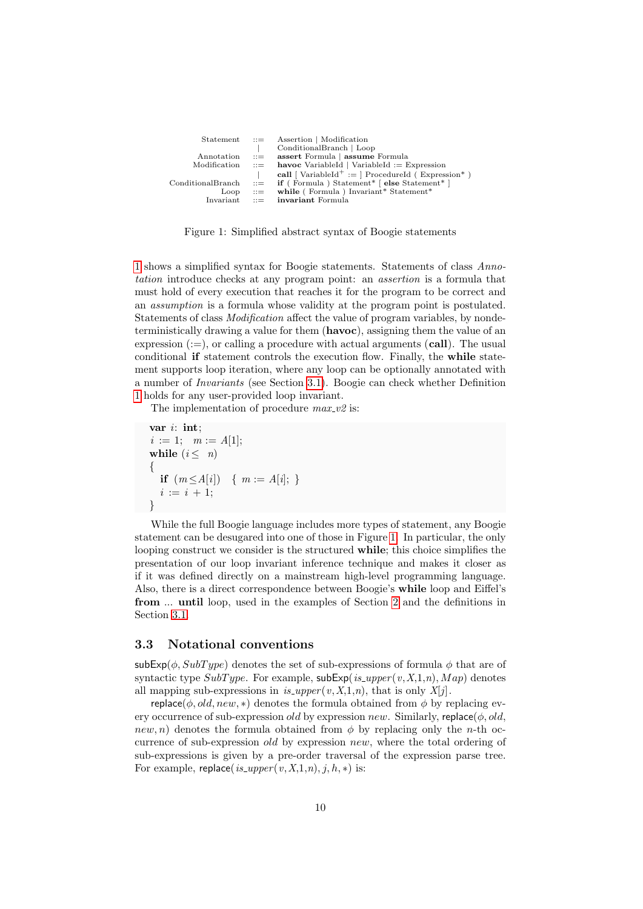|      | Statement ::= Assertion   Modification                                    |
|------|---------------------------------------------------------------------------|
|      | ConditionalBranch   Loop                                                  |
|      | Annotation ::= assert Formula   assume Formula                            |
|      | Modification $\cdots$ have Variable   Variable Id : Expression            |
|      | call [VariableId <sup>+</sup> := ] ProcedureId (Expression <sup>*</sup> ) |
|      | ConditionalBranch ::= if (Formula ) Statement* [else Statement* ]         |
| Loop | $ ::=$ while (Formula) Invariant* Statement*                              |
|      | $Invariant ::= invariant Formula$                                         |
|      |                                                                           |

<span id="page-9-1"></span>Figure 1: Simplified abstract syntax of Boogie statements

[1](#page-9-1) shows a simplified syntax for Boogie statements. Statements of class Annotation introduce checks at any program point: an assertion is a formula that must hold of every execution that reaches it for the program to be correct and an assumption is a formula whose validity at the program point is postulated. Statements of class *Modification* affect the value of program variables, by nondeterministically drawing a value for them (havoc), assigning them the value of an expression  $(:=)$ , or calling a procedure with actual arguments  $(call)$ . The usual conditional if statement controls the execution flow. Finally, the while statement supports loop iteration, where any loop can be optionally annotated with a number of Invariants (see Section [3.1\)](#page-6-0). Boogie can check whether Definition [1](#page-6-1) holds for any user-provided loop invariant.

The implementation of procedure  $max_v 2$  is:

```
var i: int;
i := 1; m := A[1];while (i \leq n){
  if (m \leq A[i]) { m := A[i]; }
  i := i + 1;}
```
While the full Boogie language includes more types of statement, any Boogie statement can be desugared into one of those in Figure [1.](#page-9-1) In particular, the only looping construct we consider is the structured **while**; this choice simplifies the presentation of our loop invariant inference technique and makes it closer as if it was defined directly on a mainstream high-level programming language. Also, there is a direct correspondence between Boogie's while loop and Eiffel's from ... until loop, used in the examples of Section [2](#page-3-0) and the definitions in Section [3.1.](#page-6-0)

#### <span id="page-9-0"></span>3.3 Notational conventions

subExp( $\phi$ , SubType) denotes the set of sub-expressions of formula  $\phi$  that are of syntactic type SubType. For example,  $\mathsf{subExp}(is\_upper(v, X,1,n), Map)$  denotes all mapping sub-expressions in  $is\_upper(v, X,1,n)$ , that is only  $X[j]$ .

replace( $\phi$ , *old*, new, \*) denotes the formula obtained from  $\phi$  by replacing every occurrence of sub-expression old by expression new. Similarly, replace( $\phi$ , old,  $new, n$ ) denotes the formula obtained from  $\phi$  by replacing only the *n*-th occurrence of sub-expression old by expression new, where the total ordering of sub-expressions is given by a pre-order traversal of the expression parse tree. For example, replace( $is\_upper(v, X,1,n), j, h, *)$  is: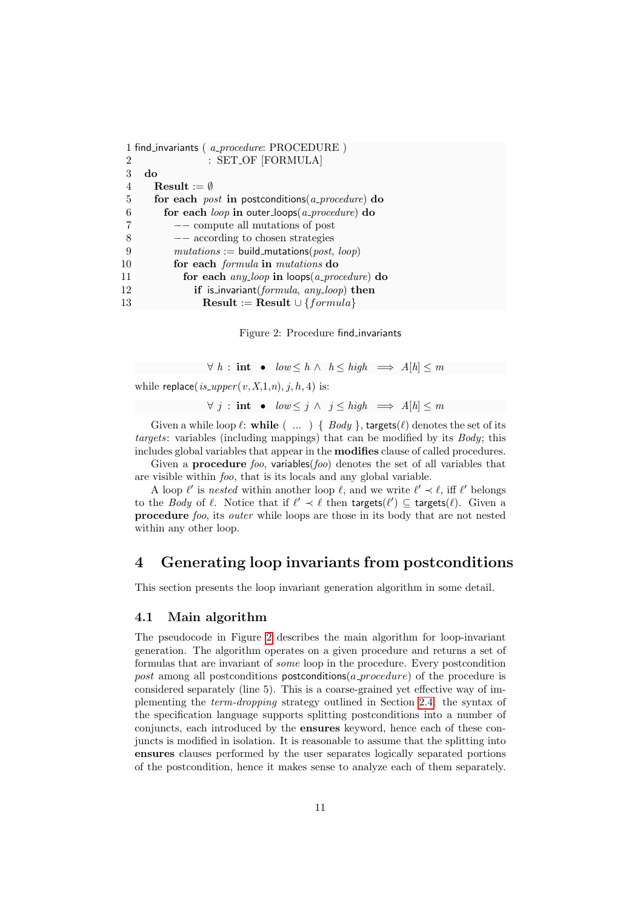|    | 1 find_invariants (a_procedure: PROCEDURE)                 |
|----|------------------------------------------------------------|
| 2  | : SET_OF [FORMULA]                                         |
| 3  | do                                                         |
| 4  | $Result := \emptyset$                                      |
| 5  | for each <i>post</i> in postconditions $(a$ -procedure) do |
| 6  | for each <i>loop</i> in outer_loops( $a\_procedure$ ) do   |
|    | -- compute all mutations of post                           |
| 8  | -- according to chosen strategies                          |
| 9  | $mutations := build\_mutations(root, loop)$                |
| 10 | for each <i>formula</i> in <i>mutations</i> do             |
| 11 | for each $any\_loop$ in $loops(a\_procedure)$ do           |
| 12 | if is_invariant( $formula, any\_loop$ ) then               |
| 13 | $Result := Result \cup \{formula\}$                        |

<span id="page-10-1"></span>Figure 2: Procedure find invariants

 $\forall h : \text{int} \bullet \, low \leq h \land \, h \leq high \implies A[h] \leq m$ 

while replace( $is\_upper(v, X,1,n), j, h, 4$ ) is:

 $\forall j : \text{int} \bullet \, low \leq j \land j \leq high \implies A[h] \leq m$ 

Given a while loop  $\ell$ : while  $(\ldots) \{ Body\}$ , targets( $\ell$ ) denotes the set of its targets: variables (including mappings) that can be modified by its Body; this includes global variables that appear in the modifies clause of called procedures.

Given a **procedure** foo, variables(foo) denotes the set of all variables that are visible within foo, that is its locals and any global variable.

A loop  $\ell'$  is nested within another loop  $\ell$ , and we write  $\ell' \prec \ell$ , iff  $\ell'$  belongs to the *Body* of  $\ell$ . Notice that if  $\ell' \prec \ell$  then targets( $\ell'$ )  $\subseteq$  targets( $\ell$ ). Given a procedure *foo*, its *outer* while loops are those in its body that are not nested within any other loop.

## <span id="page-10-0"></span>4 Generating loop invariants from postconditions

This section presents the loop invariant generation algorithm in some detail.

#### 4.1 Main algorithm

The pseudocode in Figure [2](#page-10-1) describes the main algorithm for loop-invariant generation. The algorithm operates on a given procedure and returns a set of formulas that are invariant of some loop in the procedure. Every postcondition post among all postconditions postconditions  $(a\text{-}procedure)$  of the procedure is considered separately (line 5). This is a coarse-grained yet effective way of implementing the term-dropping strategy outlined in Section [2.4:](#page-5-0) the syntax of the specification language supports splitting postconditions into a number of conjuncts, each introduced by the ensures keyword, hence each of these conjuncts is modified in isolation. It is reasonable to assume that the splitting into ensures clauses performed by the user separates logically separated portions of the postcondition, hence it makes sense to analyze each of them separately.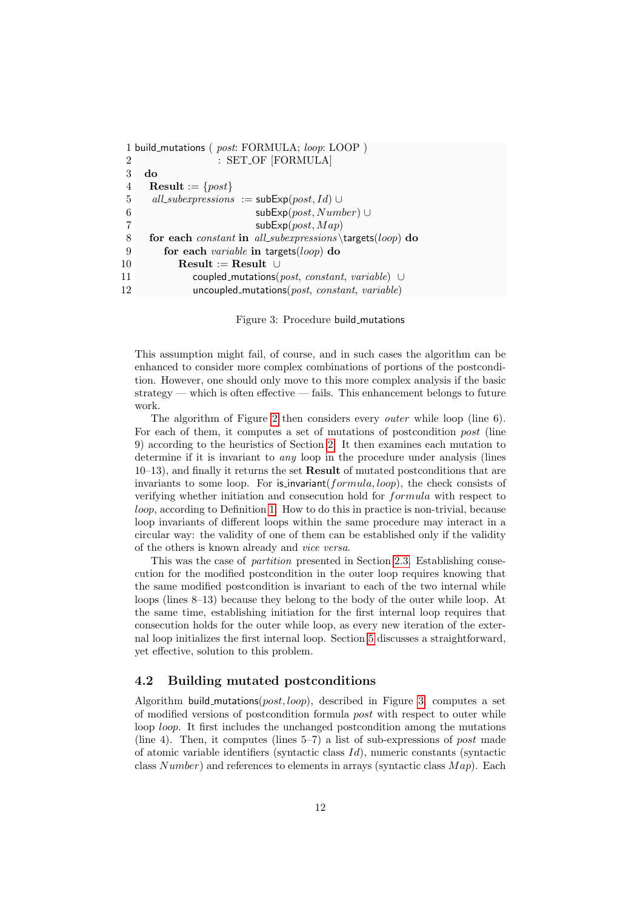```
1 build_mutations ( post: FORMULA; loop: LOOP )
 \begin{array}{ll} \texttt{2} & \texttt{1} & \texttt{1} \\ \texttt{2} & \texttt{1} & \texttt{2} \\ \texttt{3} & \texttt{3} & \texttt{3} \\ \texttt{4} & \texttt{5} & \texttt{4} \\ \texttt{5} & \texttt{6} & \texttt{5} \\ \texttt{7} & \texttt{7} & \texttt{6} \\ \texttt{8} & \texttt{8} & \texttt{7} \\ \texttt{9} & \texttt{10} & \texttt{8} \\ \texttt{11} & \texttt{11} & \texttt{12} \\ \texttt{12} & \texttt{13} & \texttt{3 do
 4 Result := \{post\}5 all_subexpressions := \mathsf{subExp}(post, Id) \cup6 subExp(post, Number) ∪
 7 subExp(post, Map)8 for each constant in all_subexpressions \targets(loop) do
 9 for each variable in targets(loop) do
10 Result := Result ∪
11 coupled mutations(post, constant, variable) ∪
12 uncoupled_mutations(post, constant, variable)
```
<span id="page-11-0"></span>Figure 3: Procedure build\_mutations

This assumption might fail, of course, and in such cases the algorithm can be enhanced to consider more complex combinations of portions of the postcondition. However, one should only move to this more complex analysis if the basic strategy — which is often effective — fails. This enhancement belongs to future work.

The algorithm of Figure [2](#page-10-1) then considers every *outer* while loop (line 6). For each of them, it computes a set of mutations of postcondition post (line 9) according to the heuristics of Section [2.](#page-3-0) It then examines each mutation to determine if it is invariant to any loop in the procedure under analysis (lines  $10–13$ ), and finally it returns the set **Result** of mutated postconditions that are invariants to some loop. For is invariant  $(formula, loop)$ , the check consists of verifying whether initiation and consecution hold for formula with respect to loop, according to Definition [1.](#page-6-1) How to do this in practice is non-trivial, because loop invariants of different loops within the same procedure may interact in a circular way: the validity of one of them can be established only if the validity of the others is known already and vice versa.

This was the case of partition presented in Section [2.3.](#page-4-0) Establishing consecution for the modified postcondition in the outer loop requires knowing that the same modified postcondition is invariant to each of the two internal while loops (lines 8–13) because they belong to the body of the outer while loop. At the same time, establishing initiation for the first internal loop requires that consecution holds for the outer while loop, as every new iteration of the external loop initializes the first internal loop. Section [5](#page-13-0) discusses a straightforward, yet effective, solution to this problem.

#### 4.2 Building mutated postconditions

Algorithm build mutations  $(post, loop)$ , described in Figure [3,](#page-11-0) computes a set of modified versions of postcondition formula post with respect to outer while loop loop. It first includes the unchanged postcondition among the mutations (line 4). Then, it computes (lines  $5-7$ ) a list of sub-expressions of post made of atomic variable identifiers (syntactic class  $Id$ ), numeric constants (syntactic class  $Number$ ) and references to elements in arrays (syntactic class  $Map$ ). Each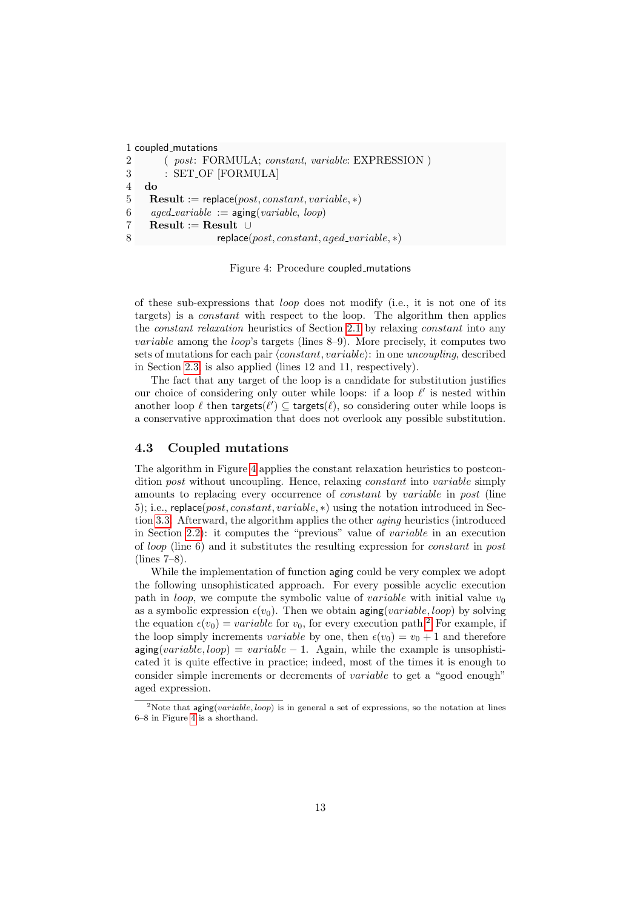```
1 coupled mutations
2 ( post: FORMULA; constant, variable: EXPRESSION )
3 : SET OF [FORMULA]
4 do
5 Result := replace(post, constant, variable, *)6 aged_variable := \text{aging}(variable, loop)7 Result := Result ∪
8 replace(post, constant, aged_variable, ∗)
```
<span id="page-12-0"></span>Figure 4: Procedure coupled mutations

of these sub-expressions that loop does not modify (i.e., it is not one of its targets) is a constant with respect to the loop. The algorithm then applies the constant relaxation heuristics of Section [2.1](#page-3-1) by relaxing constant into any *variable* among the *loop*'s targets (lines  $8-9$ ). More precisely, it computes two sets of mutations for each pair  $\langle constant, variable \rangle$ : in one uncoupling, described in Section [2.3,](#page-4-0) is also applied (lines 12 and 11, respectively).

The fact that any target of the loop is a candidate for substitution justifies our choice of considering only outer while loops: if a loop  $\ell'$  is nested within another loop  $\ell$  then targets( $\ell'$ )  $\subseteq$  targets( $\ell$ ), so considering outer while loops is a conservative approximation that does not overlook any possible substitution.

#### 4.3 Coupled mutations

The algorithm in Figure [4](#page-12-0) applies the constant relaxation heuristics to postcondition post without uncoupling. Hence, relaxing *constant* into *variable* simply amounts to replacing every occurrence of *constant* by *variable* in post (line 5); i.e., replace(*post, constant, variable*, ∗) using the notation introduced in Section [3.3.](#page-9-0) Afterward, the algorithm applies the other aging heuristics (introduced in Section [2.2\)](#page-4-1): it computes the "previous" value of variable in an execution of loop (line 6) and it substitutes the resulting expression for constant in post (lines 7–8).

While the implementation of function aging could be very complex we adopt the following unsophisticated approach. For every possible acyclic execution path in *loop*, we compute the symbolic value of *variable* with initial value  $v_0$ as a symbolic expression  $\epsilon(v_0)$ . Then we obtain aging(*variable, loop*) by solving the equation  $\epsilon(v_0) = variable$  for  $v_0$ , for every execution path.<sup>[2](#page-12-1)</sup> For example, if the loop simply increments variable by one, then  $\epsilon(v_0) = v_0 + 1$  and therefore  $aging(variable, loop) = variable - 1$ . Again, while the example is unsophisticated it is quite effective in practice; indeed, most of the times it is enough to consider simple increments or decrements of *variable* to get a "good enough" aged expression.

<span id="page-12-1"></span><sup>&</sup>lt;sup>2</sup>Note that  $\frac{1}{2}$  aging(*variable, loop*) is in general a set of expressions, so the notation at lines 6–8 in Figure [4](#page-12-0) is a shorthand.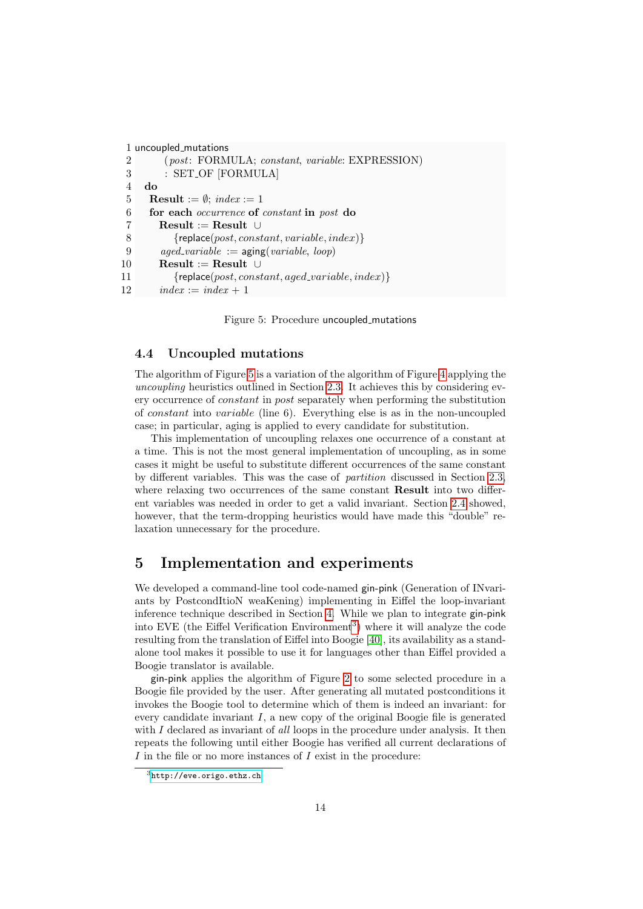```
1 uncoupled_mutations
 2 (post: FORMULA; constant, variable: EXPRESSION)
 3 : SET OF [FORMULA]
 4 do
 5 Result := \emptyset; index := 1
 6 for each occurrence of constant in post do
 7 Result := Result ∪
 8 \qquad \{ \text{replace}(post, constant, variable, index) \}9 aged\_variable := \text{aging}(variable, loop)10 Result := Result ∪
11 {replace(post, constant, aged_variable, index)}
12 index := index + 1
```
<span id="page-13-1"></span>Figure 5: Procedure uncoupled\_mutations

#### 4.4 Uncoupled mutations

The algorithm of Figure [5](#page-13-1) is a variation of the algorithm of Figure [4](#page-12-0) applying the uncoupling heuristics outlined in Section [2.3.](#page-4-0) It achieves this by considering every occurrence of *constant* in *post* separately when performing the substitution of constant into variable (line 6). Everything else is as in the non-uncoupled case; in particular, aging is applied to every candidate for substitution.

This implementation of uncoupling relaxes one occurrence of a constant at a time. This is not the most general implementation of uncoupling, as in some cases it might be useful to substitute different occurrences of the same constant by different variables. This was the case of partition discussed in Section [2.3,](#page-4-0) where relaxing two occurrences of the same constant **Result** into two different variables was needed in order to get a valid invariant. Section [2.4](#page-5-0) showed, however, that the term-dropping heuristics would have made this "double" relaxation unnecessary for the procedure.

## <span id="page-13-0"></span>5 Implementation and experiments

We developed a command-line tool code-named gin-pink (Generation of INvariants by PostcondItioN weaKening) implementing in Eiffel the loop-invariant inference technique described in Section [4.](#page-10-0) While we plan to integrate gin-pink into EVE (the Eiffel Verification Environment<sup>[3](#page-13-2)</sup>) where it will analyze the code resulting from the translation of Eiffel into Boogie [\[40\]](#page-24-0), its availability as a standalone tool makes it possible to use it for languages other than Eiffel provided a Boogie translator is available.

gin-pink applies the algorithm of Figure [2](#page-10-1) to some selected procedure in a Boogie file provided by the user. After generating all mutated postconditions it invokes the Boogie tool to determine which of them is indeed an invariant: for every candidate invariant I, a new copy of the original Boogie file is generated with  $I$  declared as invariant of all loops in the procedure under analysis. It then repeats the following until either Boogie has verified all current declarations of  $I$  in the file or no more instances of  $I$  exist in the procedure:

<span id="page-13-2"></span> ${}^{3}$ <http://eve.origo.ethz.ch>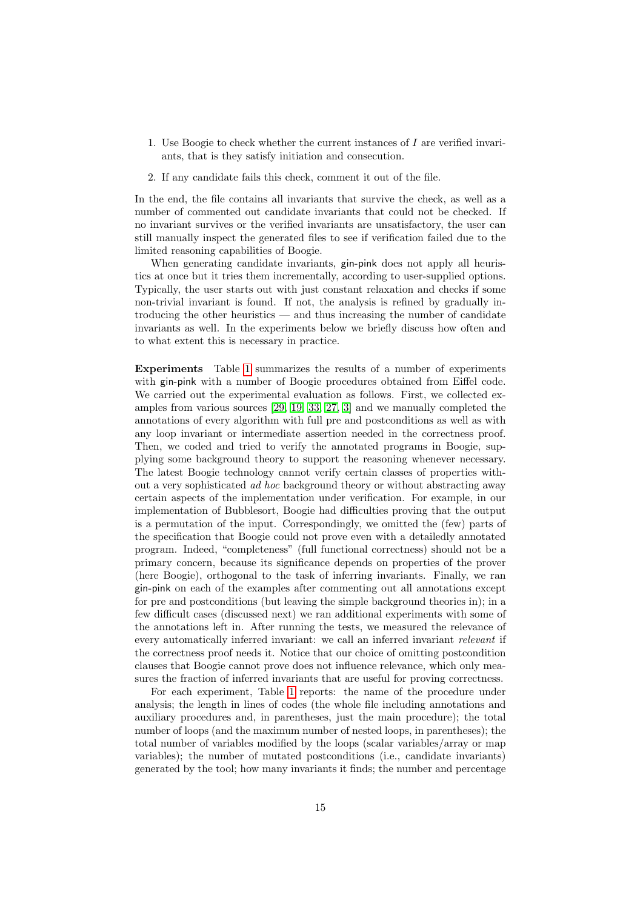- 1. Use Boogie to check whether the current instances of I are verified invariants, that is they satisfy initiation and consecution.
- 2. If any candidate fails this check, comment it out of the file.

In the end, the file contains all invariants that survive the check, as well as a number of commented out candidate invariants that could not be checked. If no invariant survives or the verified invariants are unsatisfactory, the user can still manually inspect the generated files to see if verification failed due to the limited reasoning capabilities of Boogie.

When generating candidate invariants, gin-pink does not apply all heuristics at once but it tries them incrementally, according to user-supplied options. Typically, the user starts out with just constant relaxation and checks if some non-trivial invariant is found. If not, the analysis is refined by gradually introducing the other heuristics — and thus increasing the number of candidate invariants as well. In the experiments below we briefly discuss how often and to what extent this is necessary in practice.

Experiments Table [1](#page-15-0) summarizes the results of a number of experiments with gin-pink with a number of Boogie procedures obtained from Eiffel code. We carried out the experimental evaluation as follows. First, we collected examples from various sources [\[29,](#page-23-1) [19,](#page-22-0) [33,](#page-23-3) [27,](#page-23-4) [3\]](#page-20-0) and we manually completed the annotations of every algorithm with full pre and postconditions as well as with any loop invariant or intermediate assertion needed in the correctness proof. Then, we coded and tried to verify the annotated programs in Boogie, supplying some background theory to support the reasoning whenever necessary. The latest Boogie technology cannot verify certain classes of properties without a very sophisticated ad hoc background theory or without abstracting away certain aspects of the implementation under verification. For example, in our implementation of Bubblesort, Boogie had difficulties proving that the output is a permutation of the input. Correspondingly, we omitted the (few) parts of the specification that Boogie could not prove even with a detailedly annotated program. Indeed, "completeness" (full functional correctness) should not be a primary concern, because its significance depends on properties of the prover (here Boogie), orthogonal to the task of inferring invariants. Finally, we ran gin-pink on each of the examples after commenting out all annotations except for pre and postconditions (but leaving the simple background theories in); in a few difficult cases (discussed next) we ran additional experiments with some of the annotations left in. After running the tests, we measured the relevance of every automatically inferred invariant: we call an inferred invariant relevant if the correctness proof needs it. Notice that our choice of omitting postcondition clauses that Boogie cannot prove does not influence relevance, which only measures the fraction of inferred invariants that are useful for proving correctness.

For each experiment, Table [1](#page-15-0) reports: the name of the procedure under analysis; the length in lines of codes (the whole file including annotations and auxiliary procedures and, in parentheses, just the main procedure); the total number of loops (and the maximum number of nested loops, in parentheses); the total number of variables modified by the loops (scalar variables/array or map variables); the number of mutated postconditions (i.e., candidate invariants) generated by the tool; how many invariants it finds; the number and percentage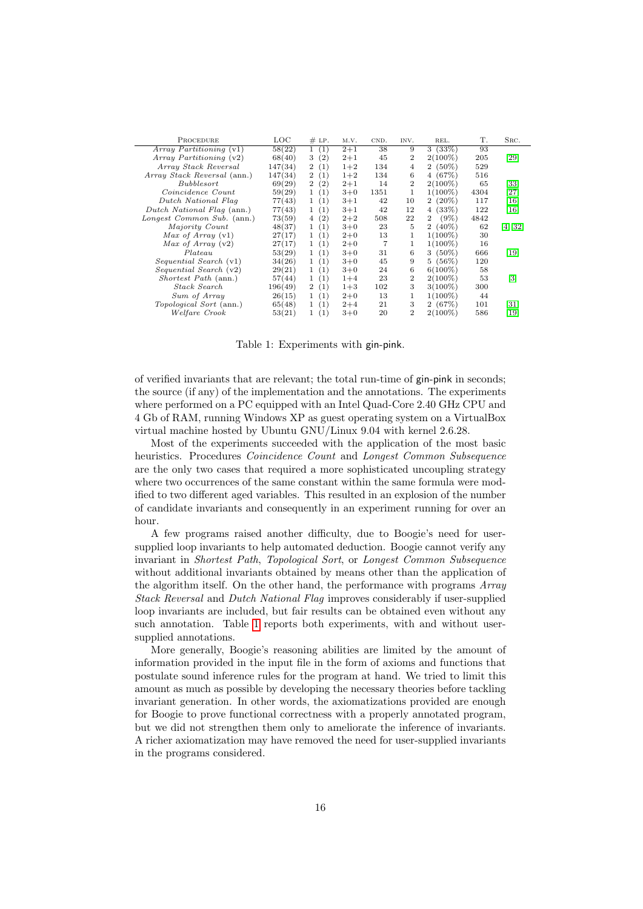| PROCEDURE                          | LOC     | # LP.                               | M.V.    | CND. | INV.           | REL.                              | Τ.   | SRC.                         |
|------------------------------------|---------|-------------------------------------|---------|------|----------------|-----------------------------------|------|------------------------------|
| <i>Array Partitioning</i> (v1)     | 58(22)  | 1<br>$\left(1\right)$               | $2 + 1$ | 38   | 9              | 3(33%)                            | 93   |                              |
| Array Partitioning (v2)            | 68(40)  | 3<br>$\left( 2\right)$              | $2 + 1$ | 45   | 2              | $2(100\%)$                        | 205  | $\left[29\right]$            |
| Array Stack Reversal               | 147(34) | $\overline{2}$<br>$\left(1\right)$  | $1+2$   | 134  | 4              | $(50\%)$<br>$\mathbf{2}^{\prime}$ | 529  |                              |
| <i>Array Stack Reversal</i> (ann.) | 147(34) | $\overline{2}$<br>$\left(1\right)$  | $1+2$   | 134  | 6              | 4(67%)                            | 516  |                              |
| Bubblesort                         | 69(29)  | $\overline{2}$<br>$\left( 2\right)$ | $2 + 1$ | 14   | $\overline{2}$ | $2(100\%)$                        | 65   | [33]                         |
| <i>Coincidence Count</i>           | 59(29)  | 1<br>$\left(1\right)$               | $3+0$   | 1351 | 1              | $1(100\%)$                        | 4304 | [27]                         |
| Dutch National Flag                | 77(43)  | 1<br>(1)                            | $3+1$   | 42   | 10             | $(20\%)$<br>$^{2}$                | 117  | 16                           |
| Dutch National Flag (ann.)         | 77(43)  | $\left(1\right)$                    | $3+1$   | 42   | 12             | 4(33%)                            | 122  | <sup>16</sup>                |
| Longest Common Sub. (ann.)         | 73(59)  | $\left( 2\right)$<br>4              | $2 + 2$ | 508  | 22             | (9%)<br>$\overline{2}$            | 4842 |                              |
| Majority Count                     | 48(37)  | 1<br>(1)                            | $3+0$   | 23   | 5.             | $2(40\%)$                         | 62   | 4, 32                        |
| Max of Array $(v1)$                | 27(17)  | 1<br>$\left(1\right)$               | $2+0$   | 13   | 1              | $1(100\%)$                        | 30   |                              |
| Max of Array $(v2)$                | 27(17)  | 1<br>$\left(1\right)$               | $2+0$   | 7    | 1              | $1(100\%)$                        | 16   |                              |
| Plateau                            | 53(29)  | 1<br>(1)                            | $3+0$   | 31   | 6              | $(50\%)$<br>3                     | 666  | $[19]$                       |
| Sequential Search (v1)             | 34(26)  | $\left(1\right)$<br>1               | $3+0$   | 45   | 9              | 5(56%)                            | 120  |                              |
| Sequential Search (v2)             | 29(21)  | $\left(1\right)$<br>1               | $3+0$   | 24   | 6              | $6(100\%)$                        | 58   |                              |
| <i>Shortest Path</i> (ann.)        | 57(44)  | 1<br>$\left(1\right)$               | $1+4$   | 23   | $\overline{2}$ | $2(100\%)$                        | 53   | $\lceil 3 \rceil$            |
| Stack Search                       | 196(49) | $\overline{2}$<br>$\left(1\right)$  | $1 + 3$ | 102  | 3              | $3(100\%)$                        | 300  |                              |
| Sum of Array                       | 26(15)  | 1<br>$\left(1\right)$               | $2+0$   | 13   | 1              | $1(100\%)$                        | 44   |                              |
| <i>Topological Sort</i> (ann.)     | 65(48)  | $\left(1\right)$<br>1               | $2 + 4$ | 21   | 3              | 2(67%)                            | 101  | $\left\lceil 31\right\rceil$ |
| <i>Welfare Crook</i>               | 53(21)  | $\left(1\right)$                    | $3+0$   | 20   | $\overline{2}$ | $2(100\%)$                        | 586  | 19                           |

<span id="page-15-0"></span>Table 1: Experiments with gin-pink.

of verified invariants that are relevant; the total run-time of gin-pink in seconds; the source (if any) of the implementation and the annotations. The experiments where performed on a PC equipped with an Intel Quad-Core 2.40 GHz CPU and 4 Gb of RAM, running Windows XP as guest operating system on a VirtualBox virtual machine hosted by Ubuntu GNU/Linux 9.04 with kernel 2.6.28.

Most of the experiments succeeded with the application of the most basic heuristics. Procedures *Coincidence Count* and *Longest Common Subsequence* are the only two cases that required a more sophisticated uncoupling strategy where two occurrences of the same constant within the same formula were modified to two different aged variables. This resulted in an explosion of the number of candidate invariants and consequently in an experiment running for over an hour.

A few programs raised another difficulty, due to Boogie's need for usersupplied loop invariants to help automated deduction. Boogie cannot verify any invariant in Shortest Path, Topological Sort, or Longest Common Subsequence without additional invariants obtained by means other than the application of the algorithm itself. On the other hand, the performance with programs  $Array$ Stack Reversal and Dutch National Flag improves considerably if user-supplied loop invariants are included, but fair results can be obtained even without any such annotation. Table [1](#page-15-0) reports both experiments, with and without usersupplied annotations.

More generally, Boogie's reasoning abilities are limited by the amount of information provided in the input file in the form of axioms and functions that postulate sound inference rules for the program at hand. We tried to limit this amount as much as possible by developing the necessary theories before tackling invariant generation. In other words, the axiomatizations provided are enough for Boogie to prove functional correctness with a properly annotated program, but we did not strengthen them only to ameliorate the inference of invariants. A richer axiomatization may have removed the need for user-supplied invariants in the programs considered.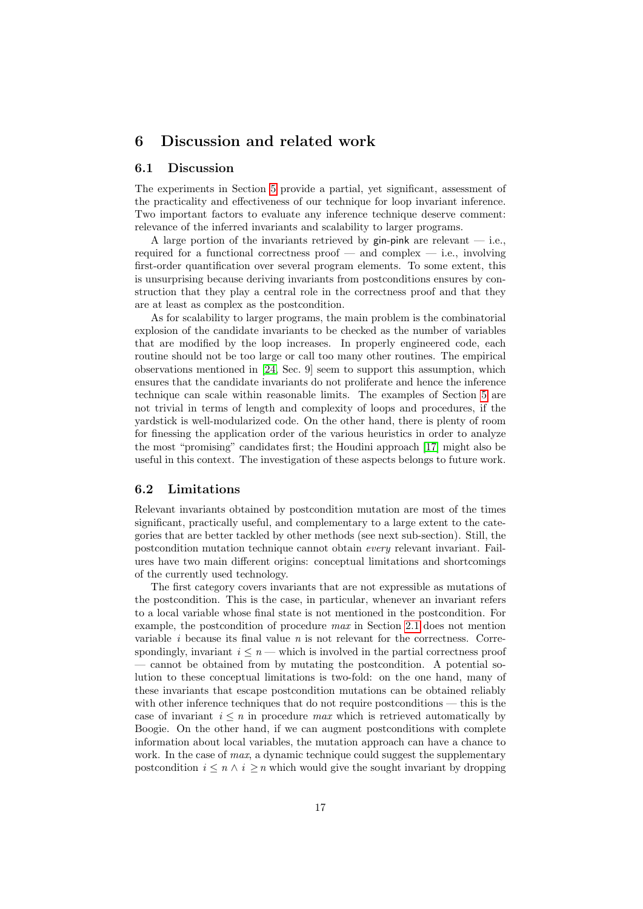# <span id="page-16-0"></span>6 Discussion and related work

#### 6.1 Discussion

The experiments in Section [5](#page-13-0) provide a partial, yet significant, assessment of the practicality and effectiveness of our technique for loop invariant inference. Two important factors to evaluate any inference technique deserve comment: relevance of the inferred invariants and scalability to larger programs.

A large portion of the invariants retrieved by  $\mathsf{gin}\text{-}\mathsf{pink}$  are relevant  $\mathsf{—}\text{ i.e.,}$ required for a functional correctness  $\text{proof}$  — and complex — i.e., involving first-order quantification over several program elements. To some extent, this is unsurprising because deriving invariants from postconditions ensures by construction that they play a central role in the correctness proof and that they are at least as complex as the postcondition.

As for scalability to larger programs, the main problem is the combinatorial explosion of the candidate invariants to be checked as the number of variables that are modified by the loop increases. In properly engineered code, each routine should not be too large or call too many other routines. The empirical observations mentioned in [\[24,](#page-22-3) Sec. 9] seem to support this assumption, which ensures that the candidate invariants do not proliferate and hence the inference technique can scale within reasonable limits. The examples of Section [5](#page-13-0) are not trivial in terms of length and complexity of loops and procedures, if the yardstick is well-modularized code. On the other hand, there is plenty of room for finessing the application order of the various heuristics in order to analyze the most "promising" candidates first; the Houdini approach [\[17\]](#page-22-4) might also be useful in this context. The investigation of these aspects belongs to future work.

### 6.2 Limitations

Relevant invariants obtained by postcondition mutation are most of the times significant, practically useful, and complementary to a large extent to the categories that are better tackled by other methods (see next sub-section). Still, the postcondition mutation technique cannot obtain every relevant invariant. Failures have two main different origins: conceptual limitations and shortcomings of the currently used technology.

The first category covers invariants that are not expressible as mutations of the postcondition. This is the case, in particular, whenever an invariant refers to a local variable whose final state is not mentioned in the postcondition. For example, the postcondition of procedure max in Section [2.1](#page-3-1) does not mention variable  $i$  because its final value  $n$  is not relevant for the correctness. Correspondingly, invariant  $i \leq n$  — which is involved in the partial correctness proof — cannot be obtained from by mutating the postcondition. A potential solution to these conceptual limitations is two-fold: on the one hand, many of these invariants that escape postcondition mutations can be obtained reliably with other inference techniques that do not require postconditions — this is the case of invariant  $i \leq n$  in procedure max which is retrieved automatically by Boogie. On the other hand, if we can augment postconditions with complete information about local variables, the mutation approach can have a chance to work. In the case of max, a dynamic technique could suggest the supplementary postcondition  $i \leq n \wedge i \geq n$  which would give the sought invariant by dropping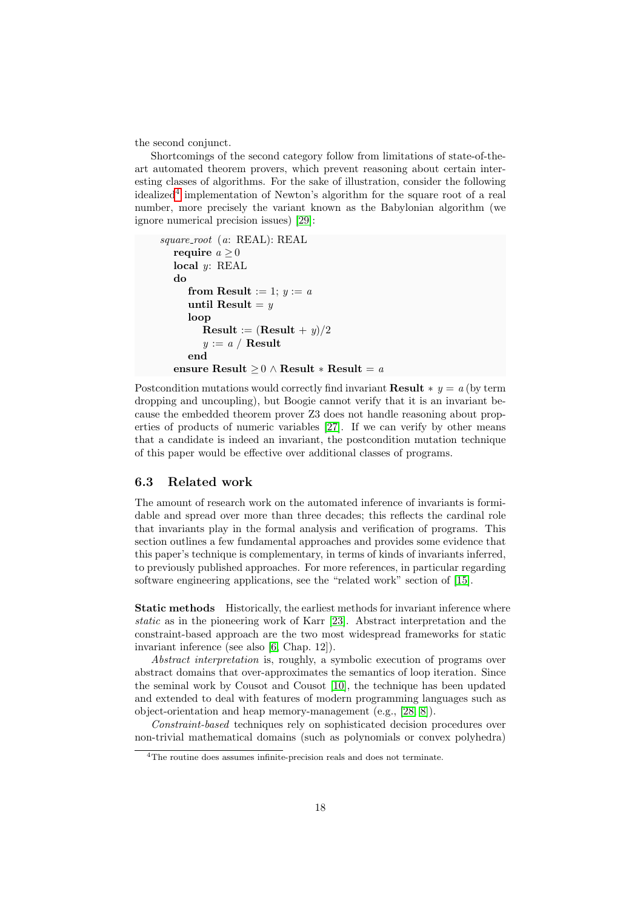the second conjunct.

Shortcomings of the second category follow from limitations of state-of-theart automated theorem provers, which prevent reasoning about certain interesting classes of algorithms. For the sake of illustration, consider the following idealized[4](#page-17-0) implementation of Newton's algorithm for the square root of a real number, more precisely the variant known as the Babylonian algorithm (we ignore numerical precision issues) [\[29\]](#page-23-1):

```
square_root (a: REAL): REAL
  require a \geq 0local y: REAL
  do
     from Result := 1; y := auntil Result = yloop
        Result := (Result + y)/2y := a / \text{Result}end
  ensure Result \geq 0 \wedge Result * Result = a
```
Postcondition mutations would correctly find invariant **Result**  $* y = a$  (by term dropping and uncoupling), but Boogie cannot verify that it is an invariant because the embedded theorem prover Z3 does not handle reasoning about properties of products of numeric variables [\[27\]](#page-23-4). If we can verify by other means that a candidate is indeed an invariant, the postcondition mutation technique of this paper would be effective over additional classes of programs.

### 6.3 Related work

The amount of research work on the automated inference of invariants is formidable and spread over more than three decades; this reflects the cardinal role that invariants play in the formal analysis and verification of programs. This section outlines a few fundamental approaches and provides some evidence that this paper's technique is complementary, in terms of kinds of invariants inferred, to previously published approaches. For more references, in particular regarding software engineering applications, see the "related work" section of [\[15\]](#page-22-5).

Static methods Historically, the earliest methods for invariant inference where static as in the pioneering work of Karr [\[23\]](#page-22-6). Abstract interpretation and the constraint-based approach are the two most widespread frameworks for static invariant inference (see also [\[6,](#page-21-1) Chap. 12]).

Abstract interpretation is, roughly, a symbolic execution of programs over abstract domains that over-approximates the semantics of loop iteration. Since the seminal work by Cousot and Cousot [\[10\]](#page-21-2), the technique has been updated and extended to deal with features of modern programming languages such as object-orientation and heap memory-management (e.g., [\[28,](#page-23-6) [8\]](#page-21-3)).

Constraint-based techniques rely on sophisticated decision procedures over non-trivial mathematical domains (such as polynomials or convex polyhedra)

<span id="page-17-0"></span><sup>&</sup>lt;sup>4</sup>The routine does assumes infinite-precision reals and does not terminate.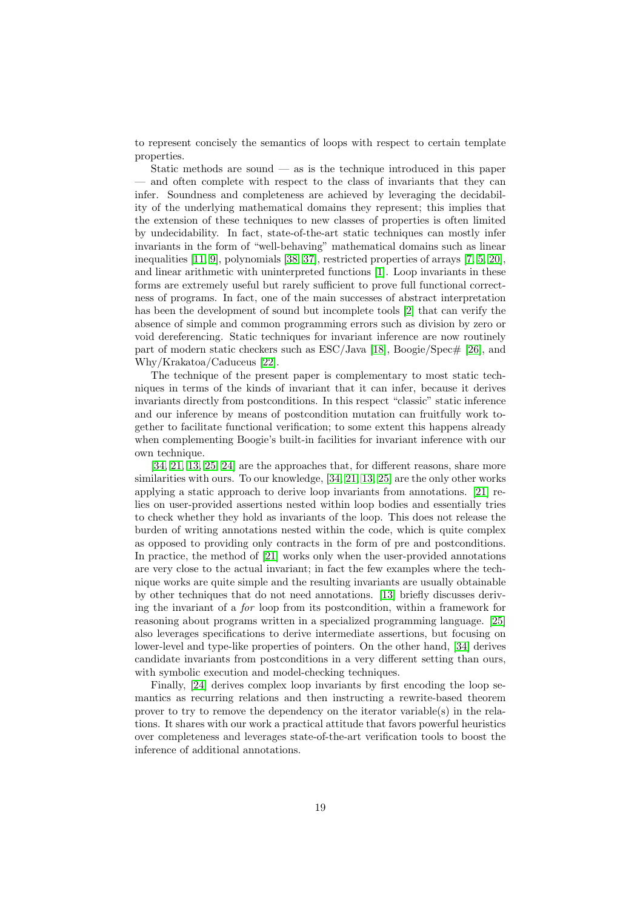to represent concisely the semantics of loops with respect to certain template properties.

Static methods are sound — as is the technique introduced in this paper — and often complete with respect to the class of invariants that they can infer. Soundness and completeness are achieved by leveraging the decidability of the underlying mathematical domains they represent; this implies that the extension of these techniques to new classes of properties is often limited by undecidability. In fact, state-of-the-art static techniques can mostly infer invariants in the form of "well-behaving" mathematical domains such as linear inequalities [\[11,](#page-21-4) [9\]](#page-21-5), polynomials [\[38,](#page-23-7) [37\]](#page-23-8), restricted properties of arrays [\[7,](#page-21-6) [5,](#page-21-7) [20\]](#page-22-7), and linear arithmetic with uninterpreted functions [\[1\]](#page-20-1). Loop invariants in these forms are extremely useful but rarely sufficient to prove full functional correctness of programs. In fact, one of the main successes of abstract interpretation has been the development of sound but incomplete tools [\[2\]](#page-20-2) that can verify the absence of simple and common programming errors such as division by zero or void dereferencing. Static techniques for invariant inference are now routinely part of modern static checkers such as ESC/Java [\[18\]](#page-22-8), Boogie/Spec# [\[26\]](#page-22-1), and Why/Krakatoa/Caduceus [\[22\]](#page-22-9).

The technique of the present paper is complementary to most static techniques in terms of the kinds of invariant that it can infer, because it derives invariants directly from postconditions. In this respect "classic" static inference and our inference by means of postcondition mutation can fruitfully work together to facilitate functional verification; to some extent this happens already when complementing Boogie's built-in facilities for invariant inference with our own technique.

[\[34,](#page-23-9) [21,](#page-22-10) [13,](#page-21-8) [25,](#page-22-11) [24\]](#page-22-3) are the approaches that, for different reasons, share more similarities with ours. To our knowledge, [\[34,](#page-23-9) [21,](#page-22-10) [13,](#page-21-8) [25\]](#page-22-11) are the only other works applying a static approach to derive loop invariants from annotations. [\[21\]](#page-22-10) relies on user-provided assertions nested within loop bodies and essentially tries to check whether they hold as invariants of the loop. This does not release the burden of writing annotations nested within the code, which is quite complex as opposed to providing only contracts in the form of pre and postconditions. In practice, the method of [\[21\]](#page-22-10) works only when the user-provided annotations are very close to the actual invariant; in fact the few examples where the technique works are quite simple and the resulting invariants are usually obtainable by other techniques that do not need annotations. [\[13\]](#page-21-8) briefly discusses deriving the invariant of a for loop from its postcondition, within a framework for reasoning about programs written in a specialized programming language. [\[25\]](#page-22-11) also leverages specifications to derive intermediate assertions, but focusing on lower-level and type-like properties of pointers. On the other hand, [\[34\]](#page-23-9) derives candidate invariants from postconditions in a very different setting than ours, with symbolic execution and model-checking techniques.

Finally, [\[24\]](#page-22-3) derives complex loop invariants by first encoding the loop semantics as recurring relations and then instructing a rewrite-based theorem prover to try to remove the dependency on the iterator variable(s) in the relations. It shares with our work a practical attitude that favors powerful heuristics over completeness and leverages state-of-the-art verification tools to boost the inference of additional annotations.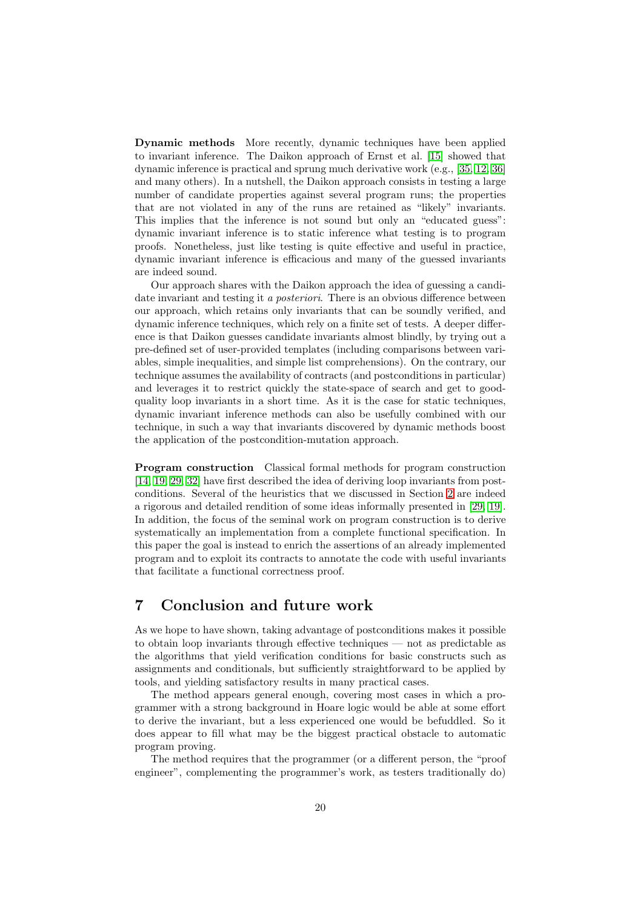Dynamic methods More recently, dynamic techniques have been applied to invariant inference. The Daikon approach of Ernst et al. [\[15\]](#page-22-5) showed that dynamic inference is practical and sprung much derivative work (e.g., [\[35,](#page-23-10) [12,](#page-21-9) [36\]](#page-23-11) and many others). In a nutshell, the Daikon approach consists in testing a large number of candidate properties against several program runs; the properties that are not violated in any of the runs are retained as "likely" invariants. This implies that the inference is not sound but only an "educated guess": dynamic invariant inference is to static inference what testing is to program proofs. Nonetheless, just like testing is quite effective and useful in practice, dynamic invariant inference is efficacious and many of the guessed invariants are indeed sound.

Our approach shares with the Daikon approach the idea of guessing a candidate invariant and testing it a *posteriori*. There is an obvious difference between our approach, which retains only invariants that can be soundly verified, and dynamic inference techniques, which rely on a finite set of tests. A deeper difference is that Daikon guesses candidate invariants almost blindly, by trying out a pre-defined set of user-provided templates (including comparisons between variables, simple inequalities, and simple list comprehensions). On the contrary, our technique assumes the availability of contracts (and postconditions in particular) and leverages it to restrict quickly the state-space of search and get to goodquality loop invariants in a short time. As it is the case for static techniques, dynamic invariant inference methods can also be usefully combined with our technique, in such a way that invariants discovered by dynamic methods boost the application of the postcondition-mutation approach.

Program construction Classical formal methods for program construction [\[14,](#page-21-10) [19,](#page-22-0) [29,](#page-23-1) [32\]](#page-23-5) have first described the idea of deriving loop invariants from postconditions. Several of the heuristics that we discussed in Section [2](#page-3-0) are indeed a rigorous and detailed rendition of some ideas informally presented in [\[29,](#page-23-1) [19\]](#page-22-0). In addition, the focus of the seminal work on program construction is to derive systematically an implementation from a complete functional specification. In this paper the goal is instead to enrich the assertions of an already implemented program and to exploit its contracts to annotate the code with useful invariants that facilitate a functional correctness proof.

# 7 Conclusion and future work

As we hope to have shown, taking advantage of postconditions makes it possible to obtain loop invariants through effective techniques — not as predictable as the algorithms that yield verification conditions for basic constructs such as assignments and conditionals, but sufficiently straightforward to be applied by tools, and yielding satisfactory results in many practical cases.

The method appears general enough, covering most cases in which a programmer with a strong background in Hoare logic would be able at some effort to derive the invariant, but a less experienced one would be befuddled. So it does appear to fill what may be the biggest practical obstacle to automatic program proving.

The method requires that the programmer (or a different person, the "proof engineer", complementing the programmer's work, as testers traditionally do)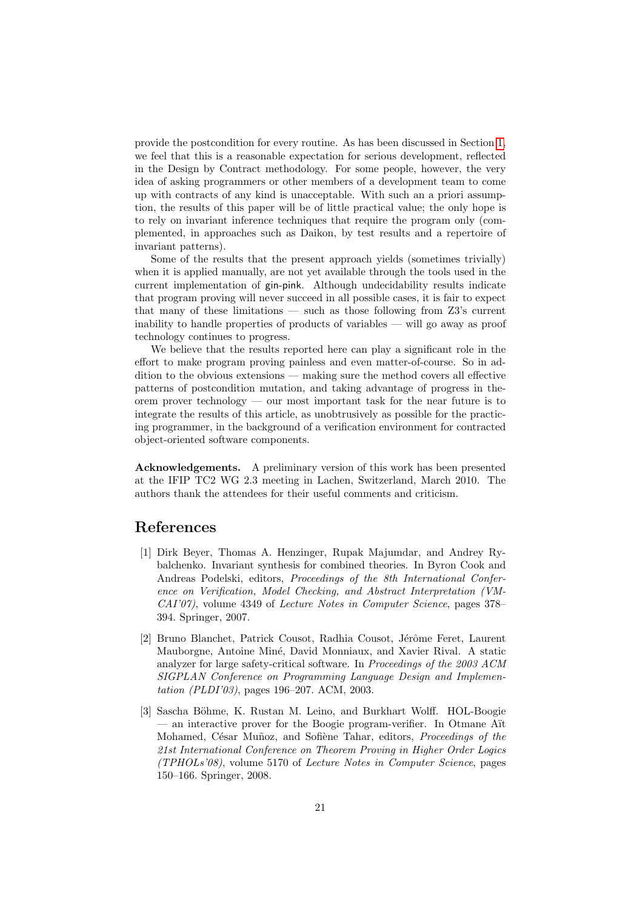provide the postcondition for every routine. As has been discussed in Section [1,](#page-0-1) we feel that this is a reasonable expectation for serious development, reflected in the Design by Contract methodology. For some people, however, the very idea of asking programmers or other members of a development team to come up with contracts of any kind is unacceptable. With such an a priori assumption, the results of this paper will be of little practical value; the only hope is to rely on invariant inference techniques that require the program only (complemented, in approaches such as Daikon, by test results and a repertoire of invariant patterns).

Some of the results that the present approach yields (sometimes trivially) when it is applied manually, are not yet available through the tools used in the current implementation of gin-pink. Although undecidability results indicate that program proving will never succeed in all possible cases, it is fair to expect that many of these limitations — such as those following from Z3's current inability to handle properties of products of variables — will go away as proof technology continues to progress.

We believe that the results reported here can play a significant role in the effort to make program proving painless and even matter-of-course. So in addition to the obvious extensions — making sure the method covers all effective patterns of postcondition mutation, and taking advantage of progress in theorem prover technology — our most important task for the near future is to integrate the results of this article, as unobtrusively as possible for the practicing programmer, in the background of a verification environment for contracted object-oriented software components.

Acknowledgements. A preliminary version of this work has been presented at the IFIP TC2 WG 2.3 meeting in Lachen, Switzerland, March 2010. The authors thank the attendees for their useful comments and criticism.

## References

- <span id="page-20-1"></span>[1] Dirk Beyer, Thomas A. Henzinger, Rupak Majumdar, and Andrey Rybalchenko. Invariant synthesis for combined theories. In Byron Cook and Andreas Podelski, editors, Proceedings of the 8th International Conference on Verification, Model Checking, and Abstract Interpretation (VM-CAI'07), volume 4349 of Lecture Notes in Computer Science, pages 378– 394. Springer, 2007.
- <span id="page-20-2"></span>[2] Bruno Blanchet, Patrick Cousot, Radhia Cousot, Jérôme Feret, Laurent Mauborgne, Antoine Min´e, David Monniaux, and Xavier Rival. A static analyzer for large safety-critical software. In Proceedings of the 2003 ACM SIGPLAN Conference on Programming Language Design and Implementation (PLDI'03), pages 196–207. ACM, 2003.
- <span id="page-20-0"></span>[3] Sascha Böhme, K. Rustan M. Leino, and Burkhart Wolff. HOL-Boogie — an interactive prover for the Boogie program-verifier. In Otmane A¨ıt Mohamed, César Muñoz, and Sofiène Tahar, editors, Proceedings of the 21st International Conference on Theorem Proving in Higher Order Logics (TPHOLs'08), volume 5170 of Lecture Notes in Computer Science, pages 150–166. Springer, 2008.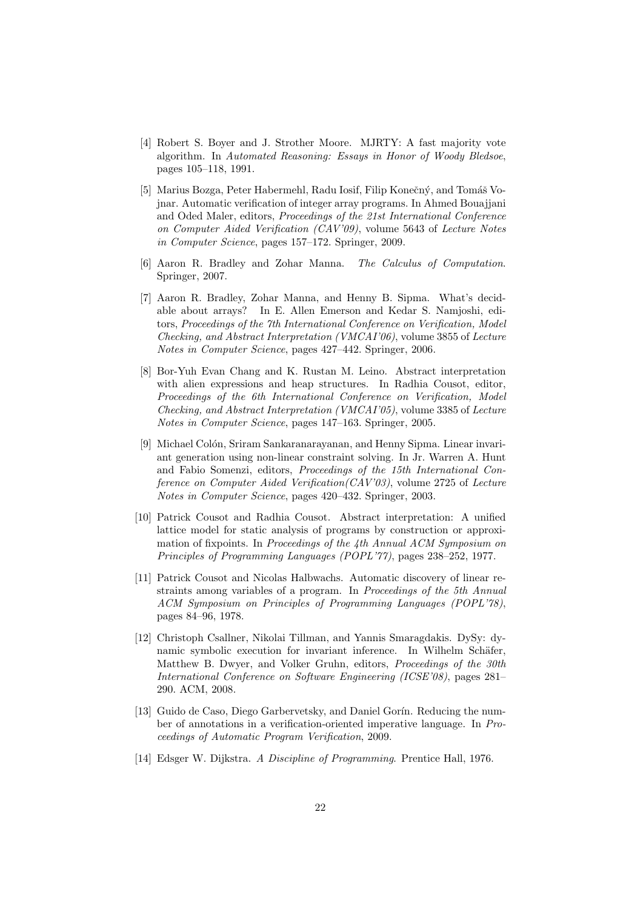- <span id="page-21-0"></span>[4] Robert S. Boyer and J. Strother Moore. MJRTY: A fast majority vote algorithm. In Automated Reasoning: Essays in Honor of Woody Bledsoe, pages 105–118, 1991.
- <span id="page-21-7"></span>[5] Marius Bozga, Peter Habermehl, Radu Iosif, Filip Konečný, and Tomáš Vojnar. Automatic verification of integer array programs. In Ahmed Bouajjani and Oded Maler, editors, Proceedings of the 21st International Conference on Computer Aided Verification (CAV'09), volume 5643 of Lecture Notes in Computer Science, pages 157–172. Springer, 2009.
- <span id="page-21-1"></span>[6] Aaron R. Bradley and Zohar Manna. The Calculus of Computation. Springer, 2007.
- <span id="page-21-6"></span>[7] Aaron R. Bradley, Zohar Manna, and Henny B. Sipma. What's decidable about arrays? In E. Allen Emerson and Kedar S. Namjoshi, editors, Proceedings of the 7th International Conference on Verification, Model Checking, and Abstract Interpretation (VMCAI'06), volume 3855 of Lecture Notes in Computer Science, pages 427–442. Springer, 2006.
- <span id="page-21-3"></span>[8] Bor-Yuh Evan Chang and K. Rustan M. Leino. Abstract interpretation with alien expressions and heap structures. In Radhia Cousot, editor, Proceedings of the 6th International Conference on Verification, Model Checking, and Abstract Interpretation (VMCAI'05), volume 3385 of Lecture Notes in Computer Science, pages 147–163. Springer, 2005.
- <span id="page-21-5"></span>[9] Michael Colón, Sriram Sankaranarayanan, and Henny Sipma. Linear invariant generation using non-linear constraint solving. In Jr. Warren A. Hunt and Fabio Somenzi, editors, Proceedings of the 15th International Conference on Computer Aided Verification(CAV'03), volume 2725 of Lecture Notes in Computer Science, pages 420–432. Springer, 2003.
- <span id="page-21-2"></span>[10] Patrick Cousot and Radhia Cousot. Abstract interpretation: A unified lattice model for static analysis of programs by construction or approximation of fixpoints. In Proceedings of the 4th Annual ACM Symposium on Principles of Programming Languages (POPL'77), pages 238–252, 1977.
- <span id="page-21-4"></span>[11] Patrick Cousot and Nicolas Halbwachs. Automatic discovery of linear restraints among variables of a program. In Proceedings of the 5th Annual ACM Symposium on Principles of Programming Languages (POPL'78), pages 84–96, 1978.
- <span id="page-21-9"></span>[12] Christoph Csallner, Nikolai Tillman, and Yannis Smaragdakis. DySy: dynamic symbolic execution for invariant inference. In Wilhelm Schäfer, Matthew B. Dwyer, and Volker Gruhn, editors, *Proceedings of the 30th* International Conference on Software Engineering (ICSE'08), pages 281– 290. ACM, 2008.
- <span id="page-21-8"></span>[13] Guido de Caso, Diego Garbervetsky, and Daniel Gorín. Reducing the number of annotations in a verification-oriented imperative language. In Proceedings of Automatic Program Verification, 2009.
- <span id="page-21-10"></span>[14] Edsger W. Dijkstra. A Discipline of Programming. Prentice Hall, 1976.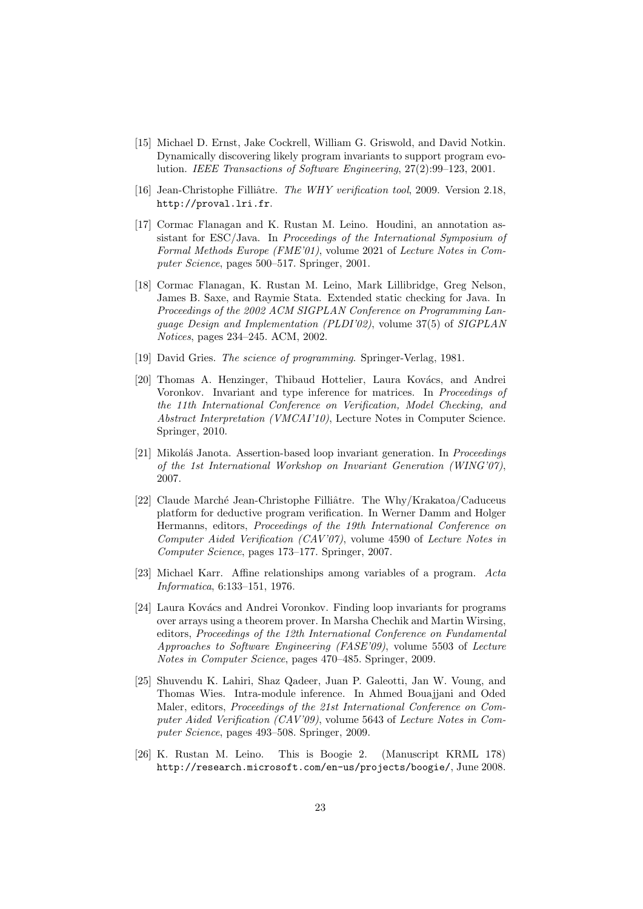- <span id="page-22-5"></span>[15] Michael D. Ernst, Jake Cockrell, William G. Griswold, and David Notkin. Dynamically discovering likely program invariants to support program evolution. IEEE Transactions of Software Engineering, 27(2):99–123, 2001.
- <span id="page-22-2"></span>[16] Jean-Christophe Filliâtre. The WHY verification tool, 2009. Version 2.18, http://proval.lri.fr.
- <span id="page-22-4"></span>[17] Cormac Flanagan and K. Rustan M. Leino. Houdini, an annotation assistant for ESC/Java. In Proceedings of the International Symposium of Formal Methods Europe (FME'01), volume 2021 of Lecture Notes in Computer Science, pages 500–517. Springer, 2001.
- <span id="page-22-8"></span>[18] Cormac Flanagan, K. Rustan M. Leino, Mark Lillibridge, Greg Nelson, James B. Saxe, and Raymie Stata. Extended static checking for Java. In Proceedings of the 2002 ACM SIGPLAN Conference on Programming Language Design and Implementation (PLDI'02), volume 37(5) of SIGPLAN Notices, pages 234–245. ACM, 2002.
- <span id="page-22-0"></span>[19] David Gries. The science of programming. Springer-Verlag, 1981.
- <span id="page-22-7"></span>[20] Thomas A. Henzinger, Thibaud Hottelier, Laura Kovács, and Andrei Voronkov. Invariant and type inference for matrices. In Proceedings of the 11th International Conference on Verification, Model Checking, and Abstract Interpretation (VMCAI'10), Lecture Notes in Computer Science. Springer, 2010.
- <span id="page-22-10"></span>[21] Mikoláš Janota. Assertion-based loop invariant generation. In *Proceedings* of the 1st International Workshop on Invariant Generation (WING'07), 2007.
- <span id="page-22-9"></span>[22] Claude Marché Jean-Christophe Filliâtre. The Why/Krakatoa/Caduceus platform for deductive program verification. In Werner Damm and Holger Hermanns, editors, Proceedings of the 19th International Conference on Computer Aided Verification (CAV'07), volume 4590 of Lecture Notes in Computer Science, pages 173–177. Springer, 2007.
- <span id="page-22-6"></span>[23] Michael Karr. Affine relationships among variables of a program. Acta Informatica, 6:133–151, 1976.
- <span id="page-22-3"></span>[24] Laura Kovács and Andrei Voronkov. Finding loop invariants for programs over arrays using a theorem prover. In Marsha Chechik and Martin Wirsing, editors, Proceedings of the 12th International Conference on Fundamental Approaches to Software Engineering (FASE'09), volume 5503 of Lecture Notes in Computer Science, pages 470–485. Springer, 2009.
- <span id="page-22-11"></span>[25] Shuvendu K. Lahiri, Shaz Qadeer, Juan P. Galeotti, Jan W. Voung, and Thomas Wies. Intra-module inference. In Ahmed Bouajjani and Oded Maler, editors, Proceedings of the 21st International Conference on Computer Aided Verification (CAV'09), volume 5643 of Lecture Notes in Computer Science, pages 493–508. Springer, 2009.
- <span id="page-22-1"></span>[26] K. Rustan M. Leino. This is Boogie 2. (Manuscript KRML 178) http://research.microsoft.com/en-us/projects/boogie/, June 2008.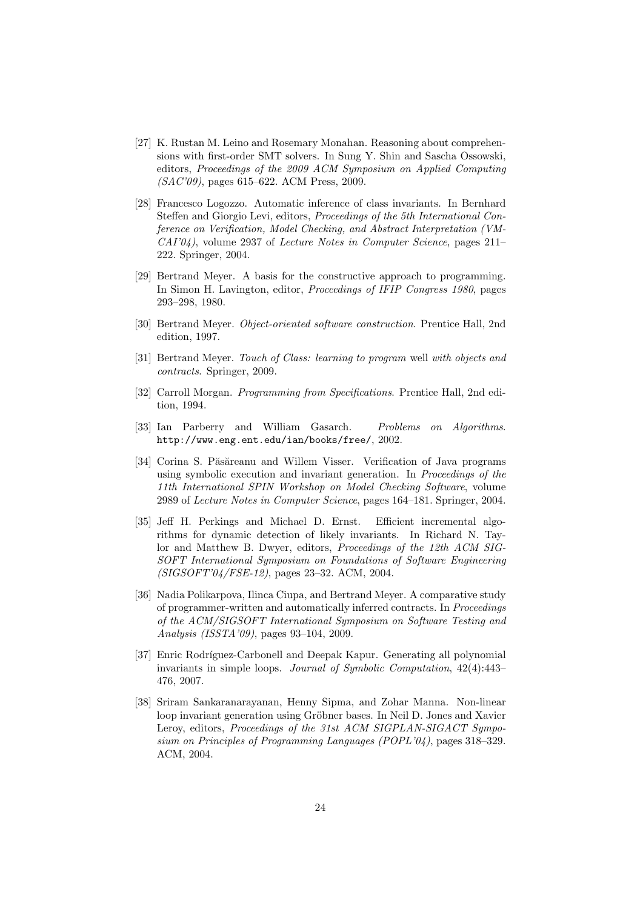- <span id="page-23-4"></span>[27] K. Rustan M. Leino and Rosemary Monahan. Reasoning about comprehensions with first-order SMT solvers. In Sung Y. Shin and Sascha Ossowski, editors, Proceedings of the 2009 ACM Symposium on Applied Computing (SAC'09), pages 615–622. ACM Press, 2009.
- <span id="page-23-6"></span>[28] Francesco Logozzo. Automatic inference of class invariants. In Bernhard Steffen and Giorgio Levi, editors, Proceedings of the 5th International Conference on Verification, Model Checking, and Abstract Interpretation (VM-CAI'04), volume 2937 of Lecture Notes in Computer Science, pages 211– 222. Springer, 2004.
- <span id="page-23-1"></span>[29] Bertrand Meyer. A basis for the constructive approach to programming. In Simon H. Lavington, editor, Proceedings of IFIP Congress 1980, pages 293–298, 1980.
- <span id="page-23-0"></span>[30] Bertrand Meyer. Object-oriented software construction. Prentice Hall, 2nd edition, 1997.
- <span id="page-23-2"></span>[31] Bertrand Meyer. Touch of Class: learning to program well with objects and contracts. Springer, 2009.
- <span id="page-23-5"></span>[32] Carroll Morgan. Programming from Specifications. Prentice Hall, 2nd edition, 1994.
- <span id="page-23-3"></span>[33] Ian Parberry and William Gasarch. Problems on Algorithms. http://www.eng.ent.edu/ian/books/free/, 2002.
- <span id="page-23-9"></span>[34] Corina S. Păsăreanu and Willem Visser. Verification of Java programs using symbolic execution and invariant generation. In Proceedings of the 11th International SPIN Workshop on Model Checking Software, volume 2989 of Lecture Notes in Computer Science, pages 164–181. Springer, 2004.
- <span id="page-23-10"></span>[35] Jeff H. Perkings and Michael D. Ernst. Efficient incremental algorithms for dynamic detection of likely invariants. In Richard N. Taylor and Matthew B. Dwyer, editors, Proceedings of the 12th ACM SIG-SOFT International Symposium on Foundations of Software Engineering (SIGSOFT'04/FSE-12), pages 23–32. ACM, 2004.
- <span id="page-23-11"></span>[36] Nadia Polikarpova, Ilinca Ciupa, and Bertrand Meyer. A comparative study of programmer-written and automatically inferred contracts. In Proceedings of the ACM/SIGSOFT International Symposium on Software Testing and Analysis (ISSTA'09), pages 93–104, 2009.
- <span id="page-23-8"></span>[37] Enric Rodríguez-Carbonell and Deepak Kapur. Generating all polynomial invariants in simple loops. Journal of Symbolic Computation, 42(4):443– 476, 2007.
- <span id="page-23-7"></span>[38] Sriram Sankaranarayanan, Henny Sipma, and Zohar Manna. Non-linear loop invariant generation using Gröbner bases. In Neil D. Jones and Xavier Leroy, editors, Proceedings of the 31st ACM SIGPLAN-SIGACT Symposium on Principles of Programming Languages (POPL'04), pages 318–329. ACM, 2004.